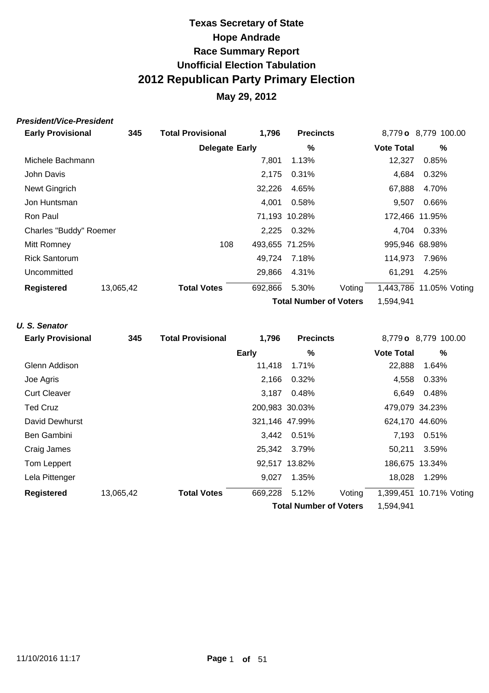### **May 29, 2012**

#### **President/Vice-President**

| <b>Early Provisional</b> | 345       | <b>Total Provisional</b> | 1,796          | <b>Precincts</b>              |        |                   | 8,779 o 8,779 100.00    |
|--------------------------|-----------|--------------------------|----------------|-------------------------------|--------|-------------------|-------------------------|
|                          |           | <b>Delegate Early</b>    |                | %                             |        | <b>Vote Total</b> | $\%$                    |
| Michele Bachmann         |           |                          | 7,801          | 1.13%                         |        | 12,327            | 0.85%                   |
| John Davis               |           |                          | 2,175          | 0.31%                         |        | 4,684             | 0.32%                   |
| Newt Gingrich            |           |                          | 32,226         | 4.65%                         |        | 67,888            | 4.70%                   |
| Jon Huntsman             |           |                          | 4,001          | 0.58%                         |        | 9,507             | 0.66%                   |
| Ron Paul                 |           |                          |                | 71,193 10.28%                 |        |                   | 172,466 11.95%          |
| Charles "Buddy" Roemer   |           |                          | 2,225          | 0.32%                         |        | 4,704             | 0.33%                   |
| Mitt Romney              |           | 108                      | 493,655 71.25% |                               |        |                   | 995,946 68.98%          |
| <b>Rick Santorum</b>     |           |                          | 49,724         | 7.18%                         |        | 114,973           | 7.96%                   |
| Uncommitted              |           |                          | 29,866         | 4.31%                         |        | 61,291            | 4.25%                   |
| <b>Registered</b>        | 13,065,42 | <b>Total Votes</b>       | 692,866        | 5.30%                         | Voting |                   | 1,443,786 11.05% Voting |
|                          |           |                          |                | <b>Total Number of Voters</b> |        | 1,594,941         |                         |

#### **U. S. Senator**

| <b>Early Provisional</b> | 345       | <b>Total Provisional</b> | 1,796        | <b>Precincts</b>              |        |                   | 8,779 o 8,779 100.00    |
|--------------------------|-----------|--------------------------|--------------|-------------------------------|--------|-------------------|-------------------------|
|                          |           |                          | <b>Early</b> | %                             |        | <b>Vote Total</b> | %                       |
| Glenn Addison            |           |                          | 11,418       | 1.71%                         |        | 22,888            | 1.64%                   |
| Joe Agris                |           |                          | 2,166        | 0.32%                         |        | 4,558             | 0.33%                   |
| <b>Curt Cleaver</b>      |           |                          | 3.187        | 0.48%                         |        | 6,649             | 0.48%                   |
| <b>Ted Cruz</b>          |           |                          |              | 200,983 30.03%                |        |                   | 479,079 34.23%          |
| David Dewhurst           |           |                          |              | 321,146 47.99%                |        |                   | 624,170 44.60%          |
| Ben Gambini              |           |                          |              | 3,442 0.51%                   |        | 7,193             | 0.51%                   |
| Craig James              |           |                          |              | 25,342 3.79%                  |        | 50,211            | 3.59%                   |
| Tom Leppert              |           |                          |              | 92,517 13.82%                 |        |                   | 186,675 13.34%          |
| Lela Pittenger           |           |                          | 9,027        | 1.35%                         |        | 18,028            | 1.29%                   |
| <b>Registered</b>        | 13,065,42 | <b>Total Votes</b>       | 669,228      | 5.12%                         | Voting |                   | 1,399,451 10.71% Voting |
|                          |           |                          |              | <b>Total Number of Voters</b> |        | 1,594,941         |                         |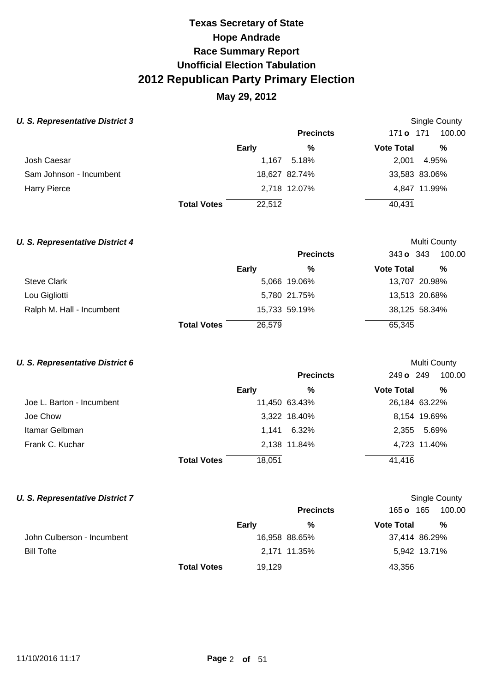## **May 29, 2012**

Single County

Multi County

Multi County

Single County

#### **U. S. Representative District 3**

|                         |                    |        | <b>Precincts</b> | 171 <b>o</b> 171  | 100.00        |
|-------------------------|--------------------|--------|------------------|-------------------|---------------|
|                         |                    | Early  | %                | <b>Vote Total</b> | %             |
| Josh Caesar             |                    | 1,167  | 5.18%            | 2.001             | 4.95%         |
| Sam Johnson - Incumbent |                    |        | 18,627 82.74%    |                   | 33,583 83.06% |
| <b>Harry Pierce</b>     |                    |        | 2,718 12.07%     |                   | 4,847 11.99%  |
|                         | <b>Total Votes</b> | 22,512 |                  | 40,431            |               |

# **U. S. Representative District 4**

|                           |                    |        | <b>Precincts</b> | 343 o 343         | 100.00        |
|---------------------------|--------------------|--------|------------------|-------------------|---------------|
|                           |                    | Early  | %                | <b>Vote Total</b> | %             |
| <b>Steve Clark</b>        |                    |        | 5,066 19.06%     |                   | 13,707 20.98% |
| Lou Gigliotti             |                    |        | 5,780 21.75%     |                   | 13,513 20.68% |
| Ralph M. Hall - Incumbent |                    |        | 15,733 59.19%    |                   | 38,125 58.34% |
|                           | <b>Total Votes</b> | 26,579 |                  | 65,345            |               |

#### **U. S. Representative District 6**

|                           |                    |        | <b>Precincts</b> | 249 o 249         | 100.00        |
|---------------------------|--------------------|--------|------------------|-------------------|---------------|
|                           |                    | Early  | %                | <b>Vote Total</b> | %             |
| Joe L. Barton - Incumbent |                    |        | 11,450 63.43%    |                   | 26,184 63.22% |
| Joe Chow                  |                    |        | 3,322 18.40%     |                   | 8,154 19.69%  |
| Itamar Gelbman            |                    |        | 1,141 6.32%      | 2.355             | 5.69%         |
| Frank C. Kuchar           |                    |        | 2,138 11.84%     |                   | 4,723 11.40%  |
|                           | <b>Total Votes</b> | 18,051 |                  | 41,416            |               |

#### **U. S. Representative District 7**

|                            |                    |        | <b>Precincts</b> | 165 <b>o</b> 165  | 100.00        |  |
|----------------------------|--------------------|--------|------------------|-------------------|---------------|--|
|                            |                    | Early  | %                | <b>Vote Total</b> | $\%$          |  |
| John Culberson - Incumbent |                    |        | 16,958 88.65%    |                   | 37,414 86.29% |  |
| <b>Bill Tofte</b>          |                    |        | 2,171 11.35%     |                   | 5,942 13.71%  |  |
|                            | <b>Total Votes</b> | 19,129 |                  | 43,356            |               |  |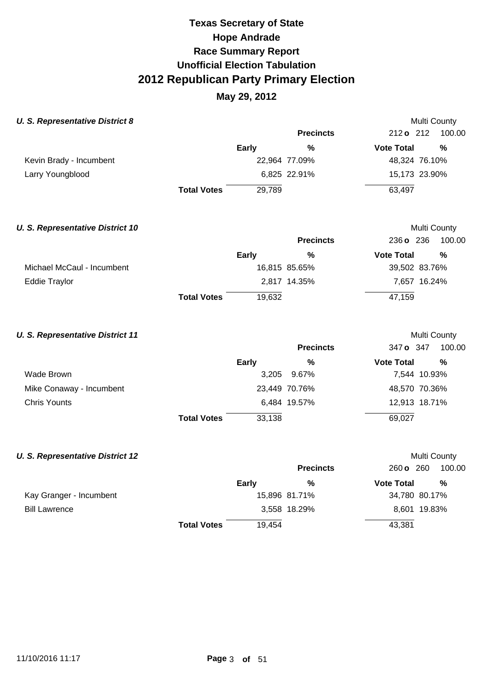### **May 29, 2012**

| <b>U. S. Representative District 8</b>  |                    |              |                  | Multi County      |               |
|-----------------------------------------|--------------------|--------------|------------------|-------------------|---------------|
|                                         |                    |              | <b>Precincts</b> | 212 o 212         | 100.00        |
|                                         |                    | <b>Early</b> | %                | <b>Vote Total</b> | $\frac{0}{0}$ |
| Kevin Brady - Incumbent                 |                    |              | 22,964 77.09%    | 48,324 76.10%     |               |
| Larry Youngblood                        |                    |              | 6,825 22.91%     | 15,173 23.90%     |               |
|                                         | <b>Total Votes</b> | 29,789       |                  | 63,497            |               |
| <b>U. S. Representative District 10</b> |                    |              |                  |                   | Multi County  |
|                                         |                    |              | <b>Precincts</b> | 236 o 236         | 100.00        |
|                                         |                    | <b>Early</b> | $\frac{0}{0}$    | <b>Vote Total</b> | $\frac{0}{0}$ |
| Michael McCaul - Incumbent              |                    |              | 16,815 85.65%    | 39,502 83.76%     |               |
| <b>Eddie Traylor</b>                    |                    |              | 2,817 14.35%     | 7,657 16.24%      |               |
|                                         | <b>Total Votes</b> | 19,632       |                  | 47,159            |               |
| <b>U. S. Representative District 11</b> |                    |              |                  |                   | Multi County  |
|                                         |                    |              | <b>Precincts</b> | 347 o 347         | 100.00        |
|                                         |                    | <b>Early</b> | $\frac{0}{0}$    | <b>Vote Total</b> | $\frac{0}{0}$ |
| Wade Brown                              |                    | 3,205        | 9.67%            | 7,544 10.93%      |               |
| Mike Conaway - Incumbent                |                    |              | 23,449 70.76%    | 48,570 70.36%     |               |
| <b>Chris Younts</b>                     |                    |              | 6,484 19.57%     | 12,913 18.71%     |               |
|                                         | <b>Total Votes</b> | 33,138       |                  | 69,027            |               |
| <b>U. S. Representative District 12</b> |                    |              |                  |                   | Multi County  |
|                                         |                    |              | <b>Precincts</b> | 260 o 260         | 100.00        |
|                                         |                    | Early        | $\frac{0}{0}$    | <b>Vote Total</b> | $\frac{0}{0}$ |
| Kay Granger - Incumbent                 |                    |              | 15,896 81.71%    | 34,780 80.17%     |               |

Bill Lawrence

3,558 18.29%

8,601 19.83%

43,381

19,454

**Total Votes**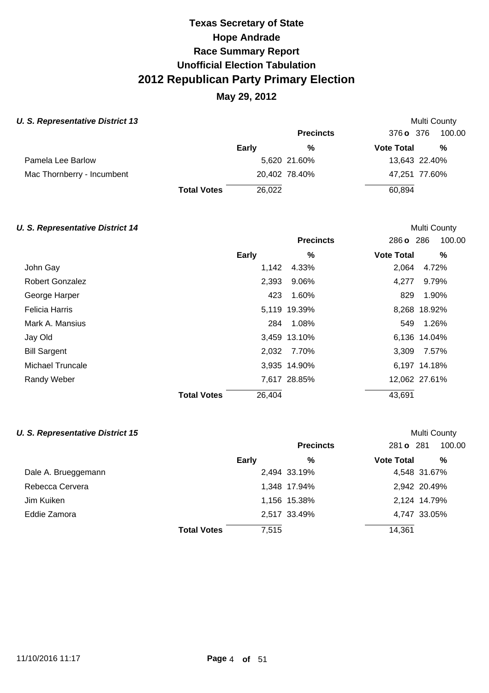## **May 29, 2012**

#### **U. S. Representative District 13 Multi County Multi County Multi County Multi County**

|                            |                    |        | <b>Precincts</b> | 376 o 376         | 100.00        |
|----------------------------|--------------------|--------|------------------|-------------------|---------------|
|                            |                    | Early  | %                | <b>Vote Total</b> | %             |
| Pamela Lee Barlow          |                    |        | 5,620 21.60%     |                   | 13,643 22.40% |
| Mac Thornberry - Incumbent |                    |        | 20,402 78.40%    |                   | 47,251 77.60% |
|                            | <b>Total Votes</b> | 26,022 |                  | 60,894            |               |

#### **U. S. Representative District 14 Multi County Multi County Multi County**

|                        |                              | <b>Precincts</b> | 100.00<br>286 o 286    |
|------------------------|------------------------------|------------------|------------------------|
|                        | Early                        | $\%$             | %<br><b>Vote Total</b> |
| John Gay               | 1,142                        | 4.33%            | 2,064<br>4.72%         |
| <b>Robert Gonzalez</b> | 2,393                        | 9.06%            | 9.79%<br>4.277         |
| George Harper          | 423                          | 1.60%            | 1.90%<br>829           |
| <b>Felicia Harris</b>  |                              | 5,119 19.39%     | 8,268 18.92%           |
| Mark A. Mansius        | 284                          | 1.08%            | 1.26%<br>549           |
| Jay Old                |                              | 3,459 13.10%     | 6,136 14.04%           |
| <b>Bill Sargent</b>    |                              | 2,032 7.70%      | 3,309<br>7.57%         |
| Michael Truncale       |                              | 3,935 14.90%     | 6,197 14.18%           |
| Randy Weber            |                              | 7,617 28.85%     | 12,062 27.61%          |
|                        | 26,404<br><b>Total Votes</b> |                  | 43,691                 |

#### **U. S. Representative District 15 Multi County Multi County Multi County**

|                     |                             | <b>Precincts</b> | 281 <b>o</b> 281  | 100.00       |
|---------------------|-----------------------------|------------------|-------------------|--------------|
|                     | Early                       | %                | <b>Vote Total</b> | %            |
| Dale A. Brueggemann |                             | 2,494 33.19%     |                   | 4,548 31.67% |
| Rebecca Cervera     |                             | 1,348 17.94%     |                   | 2,942 20.49% |
| Jim Kuiken          |                             | 1,156 15.38%     |                   | 2,124 14.79% |
| Eddie Zamora        |                             | 2,517 33.49%     |                   | 4,747 33.05% |
|                     | 7,515<br><b>Total Votes</b> |                  | 14,361            |              |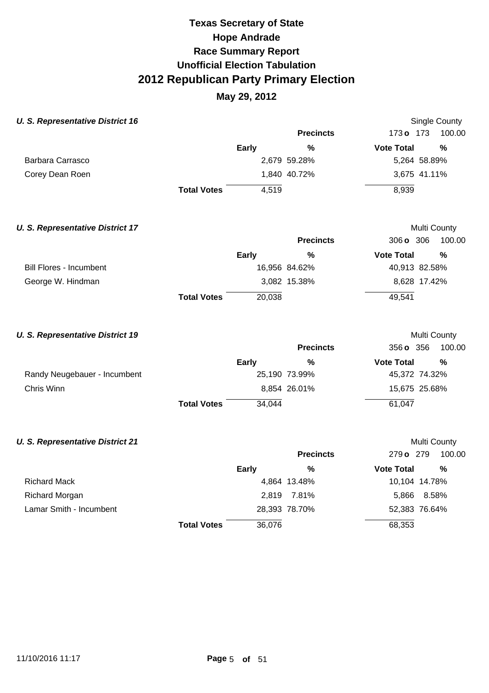### **May 29, 2012**

| <b>U. S. Representative District 16</b> |                    |              |                  |                   | <b>Single County</b> |
|-----------------------------------------|--------------------|--------------|------------------|-------------------|----------------------|
|                                         |                    |              | <b>Precincts</b> | 173 o 173         | 100.00               |
|                                         |                    | <b>Early</b> | $\frac{0}{0}$    | <b>Vote Total</b> | $\frac{0}{0}$        |
| <b>Barbara Carrasco</b>                 |                    |              | 2,679 59.28%     | 5,264 58.89%      |                      |
| Corey Dean Roen                         |                    |              | 1,840 40.72%     | 3,675 41.11%      |                      |
|                                         | <b>Total Votes</b> | 4,519        |                  | 8,939             |                      |
| <b>U. S. Representative District 17</b> |                    |              |                  | Multi County      |                      |
|                                         |                    |              | <b>Precincts</b> | 306 o 306         | 100.00               |
|                                         |                    | Early        | $\frac{0}{0}$    | <b>Vote Total</b> | $\frac{0}{0}$        |
| <b>Bill Flores - Incumbent</b>          |                    |              | 16,956 84.62%    | 40,913 82.58%     |                      |
| George W. Hindman                       |                    |              | 3,082 15.38%     | 8,628 17.42%      |                      |
|                                         | <b>Total Votes</b> | 20,038       |                  | 49,541            |                      |
| <b>U. S. Representative District 19</b> |                    |              |                  | Multi County      |                      |
|                                         |                    |              | <b>Precincts</b> | 356 o 356         | 100.00               |
|                                         |                    | Early        | %                | <b>Vote Total</b> | $\frac{0}{0}$        |
| Randy Neugebauer - Incumbent            |                    |              | 25,190 73.99%    | 45,372 74.32%     |                      |
| Chris Winn                              |                    |              | 8,854 26.01%     | 15,675 25.68%     |                      |
|                                         | <b>Total Votes</b> | 34,044       |                  | 61,047            |                      |
| <b>U. S. Representative District 21</b> |                    |              |                  | Multi County      |                      |
|                                         |                    |              | <b>Precincts</b> | 279 o 279         | 100.00               |
|                                         |                    | <b>Early</b> | $\frac{0}{0}$    | <b>Vote Total</b> | $\frac{0}{0}$        |
| <b>Richard Mack</b>                     |                    |              | 4,864 13.48%     | 10,104 14.78%     |                      |
| <b>Richard Morgan</b>                   |                    | 2,819        | 7.81%            | 8.58%<br>5,866    |                      |

Lamar Smith - Incumbent

2,819 7.81% 28,393 78.70%

52,383 76.64%

68,353

36,076

**Total Votes**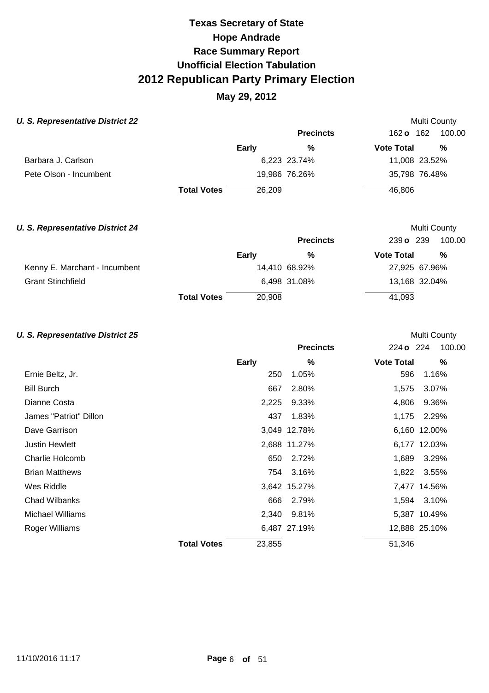### **May 29, 2012**

#### **U. S. Representative District 22 Multi County Multi County Multi County**

|                        |                    |        | <b>Precincts</b> | 162 <b>o</b> 162  | 100.00        |
|------------------------|--------------------|--------|------------------|-------------------|---------------|
|                        |                    | Early  | %                | <b>Vote Total</b> | %             |
| Barbara J. Carlson     |                    |        | 6,223 23.74%     |                   | 11,008 23.52% |
| Pete Olson - Incumbent |                    |        | 19,986 76.26%    |                   | 35,798 76.48% |
|                        | <b>Total Votes</b> | 26.209 |                  | 46,806            |               |

### **U. S. Representative District 24 Multi County Multi County Multi County Precincts** 239 **o** 239 100.00 **Early % Vote Total %**<br>11.110, 69, 99% 97, 995, 67, 996 97, 996 97, 996 97, 996 97, 996 97, 996 97, 996 97, 996 97, 996 97, 996 97, 996 9 Kenny E. Marchant - Incumbent 14,410 68.92% 27,925 67.96%

|                               | <b>Total Votes</b> | 20.908        | 41.093        |
|-------------------------------|--------------------|---------------|---------------|
| <b>Grant Stinchfield</b>      |                    | 6.498 31.08%  | 13.168 32.04% |
| Kenny E. Marchant - Incumbent |                    | 14.410 68.92% | 27,925 67.96% |

#### **U. S. Representative District 25 Multi County Multi County Multi County**

|                         |                    |              | <b>Precincts</b> | 224 o 224         | 100.00        |
|-------------------------|--------------------|--------------|------------------|-------------------|---------------|
|                         |                    | <b>Early</b> | %                | <b>Vote Total</b> | %             |
| Ernie Beltz, Jr.        |                    | 250          | 1.05%            | 596               | 1.16%         |
| <b>Bill Burch</b>       |                    | 667          | 2.80%            | 1,575             | 3.07%         |
| Dianne Costa            |                    | 2,225        | 9.33%            | 4,806             | 9.36%         |
| James "Patriot" Dillon  |                    | 437          | 1.83%            | 1,175             | 2.29%         |
| Dave Garrison           |                    |              | 3,049 12.78%     |                   | 6,160 12.00%  |
| <b>Justin Hewlett</b>   |                    |              | 2,688 11.27%     |                   | 6,177 12.03%  |
| Charlie Holcomb         |                    | 650          | 2.72%            | 1,689             | 3.29%         |
| <b>Brian Matthews</b>   |                    |              | 754 3.16%        |                   | 1,822 3.55%   |
| Wes Riddle              |                    |              | 3,642 15.27%     |                   | 7,477 14.56%  |
| <b>Chad Wilbanks</b>    |                    | 666          | 2.79%            |                   | 1,594 3.10%   |
| <b>Michael Williams</b> |                    | 2,340        | 9.81%            |                   | 5,387 10.49%  |
| Roger Williams          |                    |              | 6,487 27.19%     |                   | 12,888 25.10% |
|                         | <b>Total Votes</b> | 23,855       |                  | 51,346            |               |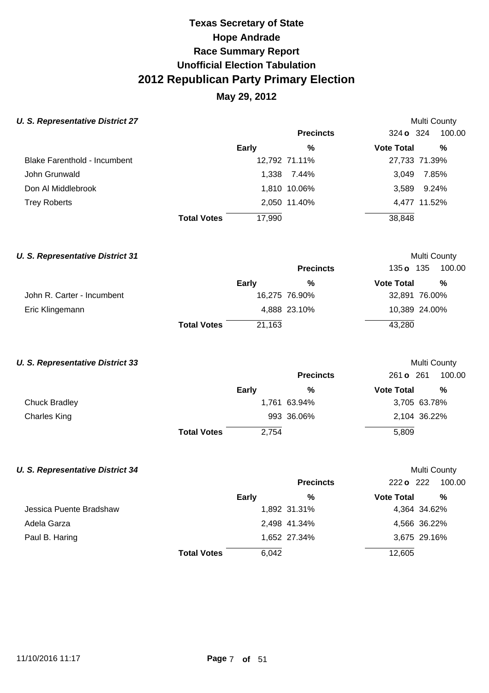## **May 29, 2012**

Multi County

Multi County

Multi County

### **U. S. Representative District 27**

|                                     |                    |        | <b>Precincts</b> | 324 <b>o</b> 324  | 100.00        |
|-------------------------------------|--------------------|--------|------------------|-------------------|---------------|
|                                     |                    | Early  | %                | <b>Vote Total</b> | %             |
| <b>Blake Farenthold - Incumbent</b> |                    |        | 12,792 71.11%    |                   | 27,733 71.39% |
| John Grunwald                       |                    |        | 1.338 7.44%      | 3.049             | 7.85%         |
| Don Al Middlebrook                  |                    |        | 1,810 10.06%     |                   | 3,589 9.24%   |
| <b>Trey Roberts</b>                 |                    |        | 2,050 11.40%     |                   | 4,477 11.52%  |
|                                     | <b>Total Votes</b> | 17,990 |                  | 38,848            |               |

| <b>U. S. Representative District 31</b> |                    |              |                  |                   | Multi County  |
|-----------------------------------------|--------------------|--------------|------------------|-------------------|---------------|
|                                         |                    |              | <b>Precincts</b> | 135 o 135         | 100.00        |
|                                         |                    | <b>Early</b> | %                | <b>Vote Total</b> | %             |
| John R. Carter - Incumbent              |                    |              | 16,275 76.90%    |                   | 32,891 76.00% |
| Eric Klingemann                         |                    |              | 4,888 23.10%     |                   | 10,389 24.00% |
|                                         | <b>Total Votes</b> | 21,163       |                  | 43,280            |               |

#### **U. S. Representative District 33**

|                      |                    |       | <b>Precincts</b> | 261 o 261         | 100.00       |
|----------------------|--------------------|-------|------------------|-------------------|--------------|
|                      |                    | Early | %                | <b>Vote Total</b> | %            |
| <b>Chuck Bradley</b> |                    |       | 1,761 63.94%     |                   | 3,705 63.78% |
| <b>Charles King</b>  |                    |       | 993 36.06%       |                   | 2,104 36.22% |
|                      | <b>Total Votes</b> | 2,754 |                  | 5,809             |              |

#### **U. S. Representative District 34**

|                         |                    |       | <b>Precincts</b> | 222 <b>o</b> 222  | 100.00       |
|-------------------------|--------------------|-------|------------------|-------------------|--------------|
|                         |                    | Early | %                | <b>Vote Total</b> | %            |
| Jessica Puente Bradshaw |                    |       | 1,892 31.31%     |                   | 4,364 34.62% |
| Adela Garza             |                    |       | 2,498 41.34%     |                   | 4,566 36.22% |
| Paul B. Haring          |                    |       | 1,652 27.34%     |                   | 3,675 29.16% |
|                         | <b>Total Votes</b> | 6,042 |                  | 12,605            |              |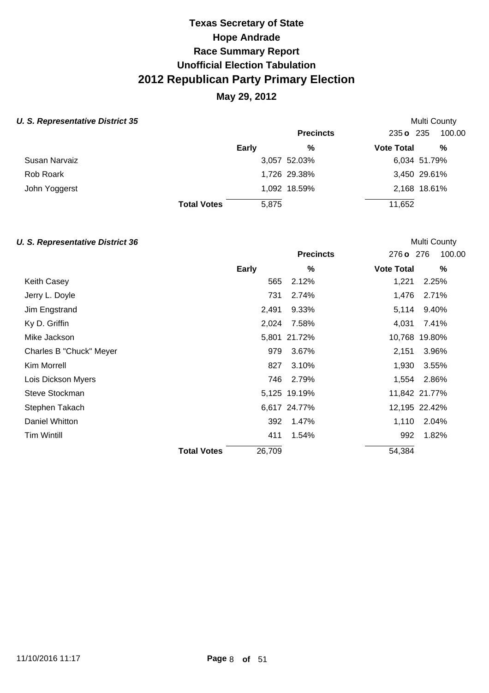## **May 29, 2012**

#### **U. S. Representative District 35 Multi County Accounty Accounty Accounty Multi County Accounty Multi County**

|                    |       | <b>Precincts</b> |                                              | 100.00                         |
|--------------------|-------|------------------|----------------------------------------------|--------------------------------|
|                    | Early | %                |                                              | %                              |
|                    |       |                  |                                              | 6,034 51.79%                   |
|                    |       |                  |                                              | 3,450 29.61%                   |
|                    |       |                  |                                              | 2,168 18.61%                   |
| <b>Total Votes</b> | 5,875 |                  | 11,652                                       |                                |
|                    |       |                  | 3,057 52.03%<br>1,726 29.38%<br>1,092 18.59% | 235 o 235<br><b>Vote Total</b> |

#### **U. S. Representative District 36 Multi County Multi County Multi County**

|                         |                    |              | <b>Precincts</b> | 276 o 276         | 100.00        |
|-------------------------|--------------------|--------------|------------------|-------------------|---------------|
|                         |                    | <b>Early</b> | $\%$             | <b>Vote Total</b> | $\%$          |
| Keith Casey             |                    | 565          | 2.12%            | 1,221             | 2.25%         |
| Jerry L. Doyle          |                    | 731          | 2.74%            | 1,476             | 2.71%         |
| Jim Engstrand           |                    | 2,491        | 9.33%            | 5,114             | 9.40%         |
| Ky D. Griffin           |                    | 2,024        | 7.58%            | 4,031             | 7.41%         |
| Mike Jackson            |                    |              | 5,801 21.72%     |                   | 10,768 19.80% |
| Charles B "Chuck" Meyer |                    | 979          | 3.67%            | 2,151             | 3.96%         |
| Kim Morrell             |                    | 827          | 3.10%            | 1,930             | 3.55%         |
| Lois Dickson Myers      |                    | 746          | 2.79%            | 1,554             | 2.86%         |
| Steve Stockman          |                    |              | 5,125 19.19%     |                   | 11,842 21.77% |
| Stephen Takach          |                    |              | 6,617 24.77%     |                   | 12,195 22.42% |
| Daniel Whitton          |                    | 392          | 1.47%            | 1,110             | 2.04%         |
| Tim Wintill             |                    | 411          | 1.54%            | 992               | 1.82%         |
|                         | <b>Total Votes</b> | 26,709       |                  | 54,384            |               |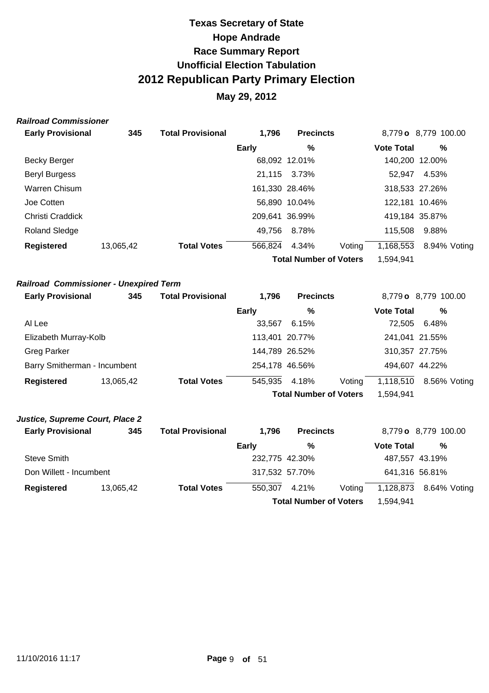## **May 29, 2012**

#### **Railroad Commissioner**

| <b>Early Provisional</b> | 345       | <b>Total Provisional</b> | 1,796        | <b>Precincts</b>              |        |                   | 8,779 o 8,779 100.00 |
|--------------------------|-----------|--------------------------|--------------|-------------------------------|--------|-------------------|----------------------|
|                          |           |                          | <b>Early</b> | %                             |        | <b>Vote Total</b> | %                    |
| <b>Becky Berger</b>      |           |                          |              | 68,092 12.01%                 |        |                   | 140,200 12.00%       |
| <b>Beryl Burgess</b>     |           |                          |              | 21,115 3.73%                  |        | 52.947            | 4.53%                |
| Warren Chisum            |           |                          |              | 161,330 28.46%                |        |                   | 318,533 27.26%       |
| Joe Cotten               |           |                          |              | 56,890 10.04%                 |        |                   | 122,181 10.46%       |
| Christi Craddick         |           |                          |              | 209.641 36.99%                |        |                   | 419,184 35.87%       |
| <b>Roland Sledge</b>     |           |                          | 49,756       | 8.78%                         |        | 115,508           | 9.88%                |
| <b>Registered</b>        | 13,065,42 | <b>Total Votes</b>       | 566,824      | 4.34%                         | Voting | 1,168,553         | 8.94% Voting         |
|                          |           |                          |              | <b>Total Number of Voters</b> |        | 1,594,941         |                      |

### **Railroad Commissioner - Unexpired Term**

| <b>Early Provisional</b>     | 345       | <b>Total Provisional</b> | 1.796        | <b>Precincts</b>              |        | 8,779 o 8,779 100.00 |                |  |
|------------------------------|-----------|--------------------------|--------------|-------------------------------|--------|----------------------|----------------|--|
|                              |           |                          | <b>Early</b> | %                             |        | <b>Vote Total</b>    | %              |  |
| Al Lee                       |           |                          | 33.567       | 6.15%                         |        | 72.505               | 6.48%          |  |
| Elizabeth Murray-Kolb        |           |                          |              | 113,401 20.77%                |        |                      | 241,041 21.55% |  |
| <b>Greg Parker</b>           |           |                          |              | 144,789 26.52%                |        |                      | 310,357 27.75% |  |
| Barry Smitherman - Incumbent |           |                          |              | 254,178 46.56%                |        | 494,607 44.22%       |                |  |
| <b>Registered</b>            | 13,065,42 | <b>Total Votes</b>       | 545,935      | 4.18%                         | Voting | 1,118,510            | 8.56% Voting   |  |
|                              |           |                          |              | <b>Total Number of Voters</b> |        | 1,594,941            |                |  |

### **Justice, Supreme Court, Place 2**

| <b>Early Provisional</b> | 345       | <b>Total Provisional</b> | 1.796          | <b>Precincts</b>              |        |                   | 8,779 o 8,779 100.00 |
|--------------------------|-----------|--------------------------|----------------|-------------------------------|--------|-------------------|----------------------|
|                          |           |                          | Early          | %                             |        | <b>Vote Total</b> | %                    |
| Steve Smith              |           |                          | 232,775 42.30% |                               |        | 487,557 43.19%    |                      |
| Don Willett - Incumbent  |           |                          | 317,532 57.70% |                               |        | 641,316 56.81%    |                      |
| Registered               | 13,065,42 | <b>Total Votes</b>       | 550,307        | 4.21%                         | Voting | 1,128,873         | 8.64% Voting         |
|                          |           |                          |                | <b>Total Number of Voters</b> |        | 1,594,941         |                      |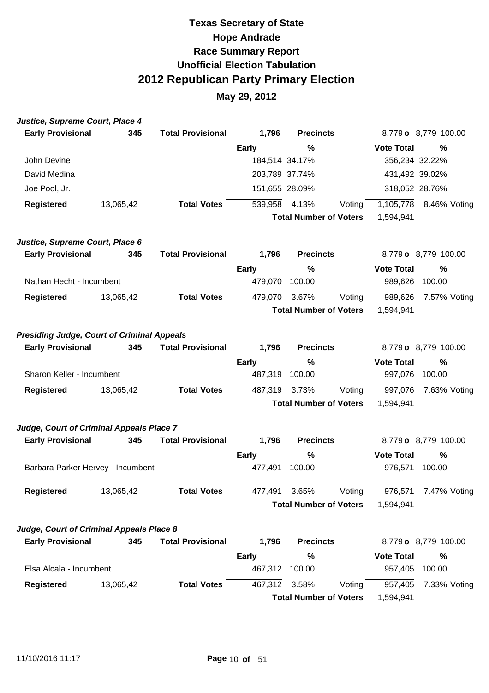| Justice, Supreme Court, Place 4                   |           |                          |                |                               |        |                   |                      |
|---------------------------------------------------|-----------|--------------------------|----------------|-------------------------------|--------|-------------------|----------------------|
| <b>Early Provisional</b>                          | 345       | <b>Total Provisional</b> | 1,796          | <b>Precincts</b>              |        |                   | 8,779 o 8,779 100.00 |
|                                                   |           |                          | <b>Early</b>   | %                             |        | <b>Vote Total</b> | %                    |
| John Devine                                       |           |                          | 184,514 34.17% |                               |        | 356,234 32.22%    |                      |
| David Medina                                      |           |                          | 203,789 37.74% |                               |        | 431,492 39.02%    |                      |
| Joe Pool, Jr.                                     |           |                          | 151,655 28.09% |                               |        | 318,052 28.76%    |                      |
| <b>Registered</b>                                 | 13,065,42 | <b>Total Votes</b>       | 539,958        | 4.13%                         | Voting | 1,105,778         | 8.46% Voting         |
|                                                   |           |                          |                | <b>Total Number of Voters</b> |        | 1,594,941         |                      |
| Justice, Supreme Court, Place 6                   |           |                          |                |                               |        |                   |                      |
| <b>Early Provisional</b>                          | 345       | <b>Total Provisional</b> | 1,796          | <b>Precincts</b>              |        |                   | 8,779 o 8,779 100.00 |
|                                                   |           |                          | <b>Early</b>   | %                             |        | <b>Vote Total</b> | $\frac{0}{0}$        |
| Nathan Hecht - Incumbent                          |           |                          | 479,070        | 100.00                        |        | 989,626           | 100.00               |
| <b>Registered</b>                                 | 13,065,42 | <b>Total Votes</b>       | 479,070        | 3.67%                         | Voting | 989,626           | 7.57% Voting         |
|                                                   |           |                          |                | <b>Total Number of Voters</b> |        | 1,594,941         |                      |
| <b>Presiding Judge, Court of Criminal Appeals</b> |           |                          |                |                               |        |                   |                      |
| <b>Early Provisional</b>                          | 345       | <b>Total Provisional</b> | 1,796          | <b>Precincts</b>              |        |                   | 8,779 o 8,779 100.00 |
|                                                   |           |                          | <b>Early</b>   | $\%$                          |        | <b>Vote Total</b> | $\frac{0}{0}$        |
| Sharon Keller - Incumbent                         |           |                          | 487,319        | 100.00                        |        | 997,076           | 100.00               |
| <b>Registered</b>                                 | 13,065,42 | <b>Total Votes</b>       | 487,319        | 3.73%                         | Voting | 997,076           | 7.63% Voting         |
|                                                   |           |                          |                | <b>Total Number of Voters</b> |        | 1,594,941         |                      |
| Judge, Court of Criminal Appeals Place 7          |           |                          |                |                               |        |                   |                      |
| <b>Early Provisional</b>                          | 345       | <b>Total Provisional</b> | 1,796          | <b>Precincts</b>              |        |                   | 8,779 o 8,779 100.00 |
|                                                   |           |                          | <b>Early</b>   | %                             |        | <b>Vote Total</b> | %                    |
| Barbara Parker Hervey - Incumbent                 |           |                          | 477,491        | 100.00                        |        | 976,571           | 100.00               |
| <b>Registered</b>                                 | 13,065,42 | <b>Total Votes</b>       | 477,491 3.65%  |                               | Voting | 976,571           | 7.47% Voting         |
|                                                   |           |                          |                | <b>Total Number of Voters</b> |        | 1,594,941         |                      |
| Judge, Court of Criminal Appeals Place 8          |           |                          |                |                               |        |                   |                      |
| <b>Early Provisional</b>                          | 345       | <b>Total Provisional</b> | 1,796          | <b>Precincts</b>              |        |                   | 8,779 o 8,779 100.00 |
|                                                   |           |                          | <b>Early</b>   | %                             |        | <b>Vote Total</b> | %                    |
| Elsa Alcala - Incumbent                           |           |                          | 467,312        | 100.00                        |        | 957,405           | 100.00               |
| <b>Registered</b>                                 | 13,065,42 | <b>Total Votes</b>       | 467,312        | 3.58%                         | Voting | 957,405           | 7.33% Voting         |
|                                                   |           |                          |                | <b>Total Number of Voters</b> |        | 1,594,941         |                      |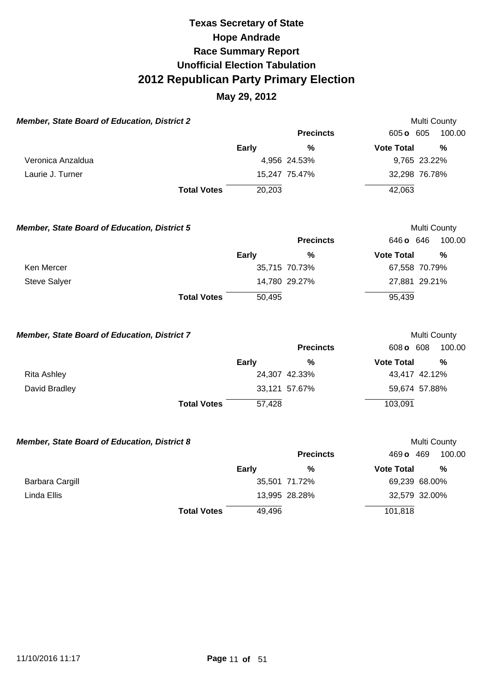| <b>Member, State Board of Education, District 2</b> |              |                  |                   | Multi County  |
|-----------------------------------------------------|--------------|------------------|-------------------|---------------|
|                                                     |              | <b>Precincts</b> | 605 o 605         | 100.00        |
|                                                     | Early        | $\frac{0}{0}$    | <b>Vote Total</b> | $\frac{0}{0}$ |
| Veronica Anzaldua                                   |              | 4,956 24.53%     | 9,765 23.22%      |               |
| Laurie J. Turner                                    |              | 15,247 75.47%    | 32,298 76.78%     |               |
| <b>Total Votes</b>                                  | 20,203       |                  | 42,063            |               |
| <b>Member, State Board of Education, District 5</b> |              |                  |                   | Multi County  |
|                                                     |              | <b>Precincts</b> | 646 o 646         | 100.00        |
|                                                     | <b>Early</b> | %                | <b>Vote Total</b> | $\frac{0}{0}$ |
| Ken Mercer                                          |              | 35,715 70.73%    | 67,558 70.79%     |               |
| <b>Steve Salyer</b>                                 |              | 14,780 29.27%    | 27,881 29.21%     |               |
| <b>Total Votes</b>                                  | 50,495       |                  | 95,439            |               |
| Member, State Board of Education, District 7        |              |                  |                   | Multi County  |
|                                                     |              | <b>Precincts</b> | 608 o 608         | 100.00        |
|                                                     | <b>Early</b> | $\%$             | <b>Vote Total</b> | $\frac{0}{0}$ |
| <b>Rita Ashley</b>                                  |              | 24,307 42.33%    | 43,417 42.12%     |               |
| David Bradley                                       |              | 33,121 57.67%    | 59,674 57.88%     |               |
| <b>Total Votes</b>                                  | 57,428       |                  | 103,091           |               |
| Member, State Board of Education, District 8        |              |                  |                   | Multi County  |
|                                                     |              | <b>Precincts</b> | 469 o 469         | 100.00        |
|                                                     | <b>Early</b> | $\frac{0}{0}$    | <b>Vote Total</b> | $\frac{0}{0}$ |
| <b>Barbara Cargill</b>                              |              | 35,501 71.72%    | 69,239 68.00%     |               |
| Linda Ellis                                         |              | 13,995 28.28%    | 32,579 32.00%     |               |
| <b>Total Votes</b>                                  | 49,496       |                  | 101,818           |               |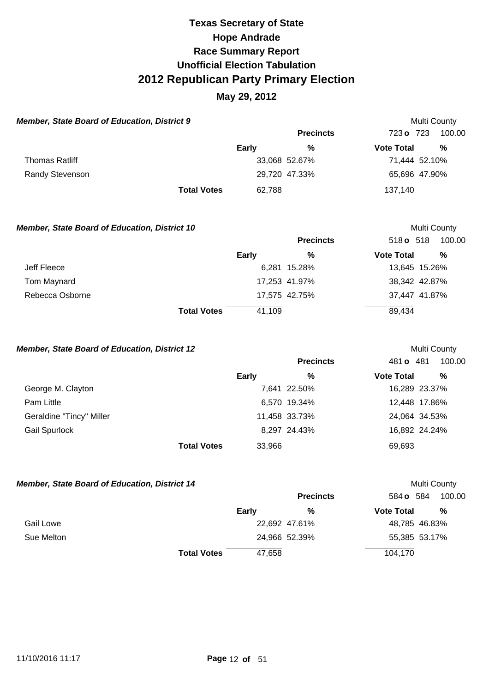### **May 29, 2012**

| <b>Member, State Board of Education, District 9</b> |              |                  |                   | Multi County  |
|-----------------------------------------------------|--------------|------------------|-------------------|---------------|
|                                                     |              | <b>Precincts</b> | 723 o 723         | 100.00        |
|                                                     | <b>Early</b> | %                | <b>Vote Total</b> | %             |
| <b>Thomas Ratliff</b>                               |              | 33,068 52.67%    |                   | 71,444 52.10% |
| Randy Stevenson                                     |              | 29,720 47.33%    |                   | 65,696 47.90% |
| <b>Total Votes</b>                                  | 62,788       |                  | 137,140           |               |

#### **Member, State Board of Education, District 10 Multi County Multi County**

|                 |                    |        | <b>Precincts</b> | 518 $\sigma$ 518  | 100.00        |
|-----------------|--------------------|--------|------------------|-------------------|---------------|
|                 |                    | Early  | %                | <b>Vote Total</b> | %             |
| Jeff Fleece     |                    |        | 6,281 15.28%     |                   | 13,645 15.26% |
| Tom Maynard     |                    |        | 17,253 41.97%    |                   | 38,342 42.87% |
| Rebecca Osborne |                    |        | 17,575 42.75%    |                   | 37,447 41.87% |
|                 | <b>Total Votes</b> | 41,109 |                  | 89,434            |               |

#### **Member, State Board of Education, District 12 Multi County Multi County**

|                          |                    |        | <b>Precincts</b> | 481 <b>o</b> 481  | 100.00        |
|--------------------------|--------------------|--------|------------------|-------------------|---------------|
|                          |                    | Early  | %                | <b>Vote Total</b> | %             |
| George M. Clayton        |                    |        | 7,641 22.50%     |                   | 16,289 23.37% |
| Pam Little               |                    |        | 6,570 19.34%     |                   | 12,448 17.86% |
| Geraldine "Tincy" Miller |                    |        | 11,458 33.73%    |                   | 24,064 34.53% |
| <b>Gail Spurlock</b>     |                    |        | 8,297 24.43%     |                   | 16,892 24.24% |
|                          | <b>Total Votes</b> | 33,966 |                  | 69,693            |               |

## **Member, State Board of Education, District 14 Multi County Multi County Precincts** 584 **o** 584 100.00 **Early % Vote Total %**  Gail Lowe **22,692 47.61%** 48,785 46.83% Sue Melton **24,966 52.39%** 55,385 53.17% **Total Votes** 47,658 104,170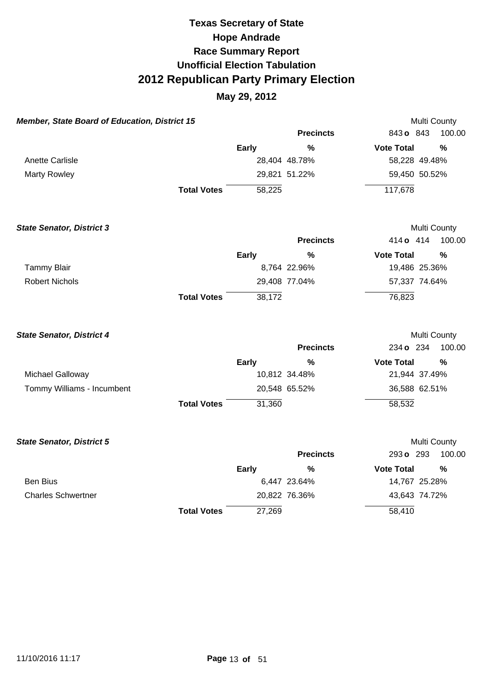| <b>Member, State Board of Education, District 15</b> |                    |              |                  | Multi County      |               |
|------------------------------------------------------|--------------------|--------------|------------------|-------------------|---------------|
|                                                      |                    |              | <b>Precincts</b> | 843 o 843         | 100.00        |
|                                                      |                    | Early        | $\%$             | <b>Vote Total</b> | $\frac{0}{0}$ |
| Anette Carlisle                                      |                    |              | 28,404 48.78%    | 58,228 49.48%     |               |
| <b>Marty Rowley</b>                                  |                    |              | 29,821 51.22%    | 59,450 50.52%     |               |
|                                                      | <b>Total Votes</b> | 58,225       |                  | 117,678           |               |
| <b>State Senator, District 3</b>                     |                    |              |                  | Multi County      |               |
|                                                      |                    |              | <b>Precincts</b> | 414 o 414         | 100.00        |
|                                                      |                    | Early        | %                | <b>Vote Total</b> | $\frac{0}{0}$ |
| <b>Tammy Blair</b>                                   |                    |              | 8,764 22.96%     | 19,486 25.36%     |               |
| <b>Robert Nichols</b>                                |                    |              | 29,408 77.04%    | 57,337 74.64%     |               |
|                                                      | <b>Total Votes</b> | 38,172       |                  | 76,823            |               |
| <b>State Senator, District 4</b>                     |                    |              |                  | Multi County      |               |
|                                                      |                    |              | <b>Precincts</b> | 234 o 234         | 100.00        |
|                                                      |                    | <b>Early</b> | %                | <b>Vote Total</b> | $\frac{0}{0}$ |
| Michael Galloway                                     |                    |              | 10,812 34.48%    | 21,944 37.49%     |               |
| Tommy Williams - Incumbent                           |                    |              | 20,548 65.52%    | 36,588 62.51%     |               |
|                                                      | <b>Total Votes</b> | 31,360       |                  | 58,532            |               |
| <b>State Senator, District 5</b>                     |                    |              |                  | Multi County      |               |
|                                                      |                    |              | <b>Precincts</b> | 293 o 293         | 100.00        |
|                                                      |                    | Early        | %                | <b>Vote Total</b> | $\frac{9}{6}$ |
| <b>Ben Bius</b>                                      |                    |              | 6,447 23.64%     | 14,767 25.28%     |               |
| <b>Charles Schwertner</b>                            |                    |              | 20,822 76.36%    | 43,643 74.72%     |               |
|                                                      | <b>Total Votes</b> | 27,269       |                  | 58,410            |               |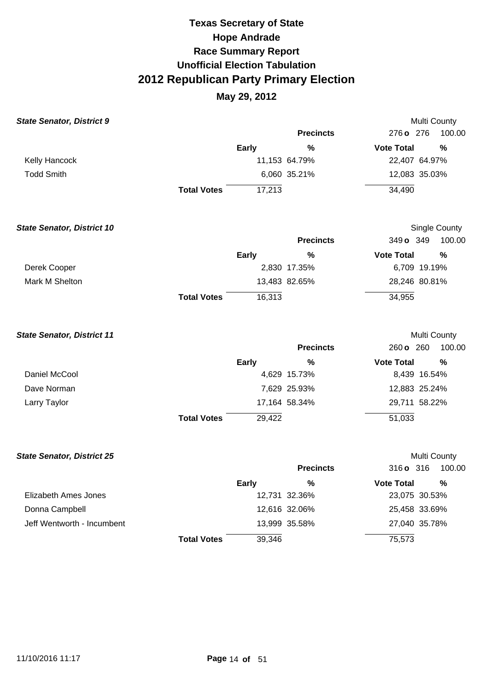| <b>State Senator, District 9</b>  |                    |              |                  |                   | Multi County  |
|-----------------------------------|--------------------|--------------|------------------|-------------------|---------------|
|                                   |                    |              | <b>Precincts</b> | 276 o 276         | 100.00        |
|                                   |                    | <b>Early</b> | $\frac{9}{6}$    | <b>Vote Total</b> | %             |
| Kelly Hancock                     |                    |              | 11,153 64.79%    | 22,407 64.97%     |               |
| <b>Todd Smith</b>                 |                    |              | 6,060 35.21%     | 12,083 35.03%     |               |
|                                   | <b>Total Votes</b> | 17,213       |                  | 34,490            |               |
| <b>State Senator, District 10</b> |                    |              |                  |                   | Single County |
|                                   |                    |              | <b>Precincts</b> | 349 o 349         | 100.00        |
|                                   |                    | <b>Early</b> | %                | <b>Vote Total</b> | %             |
| Derek Cooper                      |                    |              | 2,830 17.35%     | 6,709 19.19%      |               |
| Mark M Shelton                    |                    |              | 13,483 82.65%    | 28,246 80.81%     |               |
|                                   | <b>Total Votes</b> | 16,313       |                  | 34,955            |               |
| <b>State Senator, District 11</b> |                    |              |                  |                   | Multi County  |
|                                   |                    |              | <b>Precincts</b> | 260 o 260         | 100.00        |
|                                   |                    | <b>Early</b> | %                | <b>Vote Total</b> | %             |
| Daniel McCool                     |                    |              | 4,629 15.73%     | 8,439 16.54%      |               |
| Dave Norman                       |                    |              | 7,629 25.93%     | 12,883 25.24%     |               |
| Larry Taylor                      |                    |              | 17,164 58.34%    | 29,711 58.22%     |               |
|                                   | <b>Total Votes</b> | 29,422       |                  | 51,033            |               |
| <b>State Senator, District 25</b> |                    |              |                  |                   | Multi County  |
|                                   |                    |              | <b>Precincts</b> | 316 o 316         | 100.00        |
|                                   |                    | <b>Early</b> | $\frac{9}{6}$    | <b>Vote Total</b> | %             |
| Elizabeth Ames Jones              |                    |              | 12,731 32.36%    | 23,075 30.53%     |               |
| Donna Campbell                    |                    |              | 12,616 32.06%    | 25,458 33.69%     |               |
| Jeff Wentworth - Incumbent        |                    |              | 13,999 35.58%    | 27,040 35.78%     |               |
|                                   | <b>Total Votes</b> | 39,346       |                  | 75,573            |               |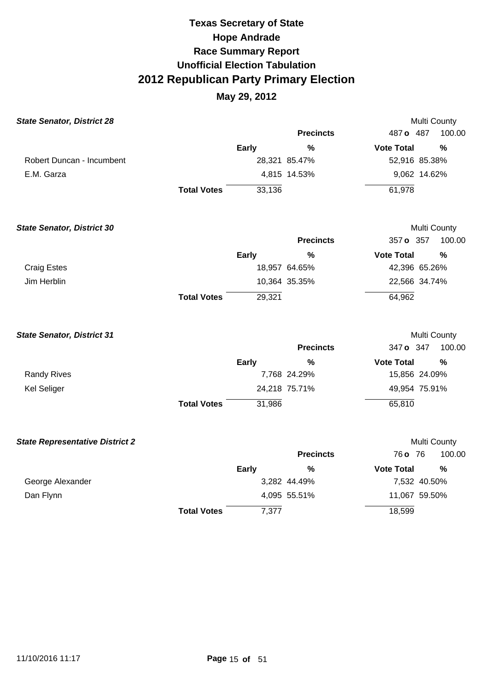| <b>State Senator, District 28</b>      |                    |              |                  | Multi County      |               |
|----------------------------------------|--------------------|--------------|------------------|-------------------|---------------|
|                                        |                    |              | <b>Precincts</b> | 487 o 487         | 100.00        |
|                                        |                    | <b>Early</b> | $\frac{0}{0}$    | <b>Vote Total</b> | $\frac{0}{0}$ |
| Robert Duncan - Incumbent              |                    |              | 28,321 85.47%    | 52,916 85.38%     |               |
| E.M. Garza                             |                    |              | 4,815 14.53%     | 9,062 14.62%      |               |
|                                        | <b>Total Votes</b> | 33,136       |                  | 61,978            |               |
| <b>State Senator, District 30</b>      |                    |              |                  | Multi County      |               |
|                                        |                    |              | <b>Precincts</b> | 357 o 357         | 100.00        |
|                                        |                    | <b>Early</b> | %                | <b>Vote Total</b> | %             |
| <b>Craig Estes</b>                     |                    |              | 18,957 64.65%    | 42,396 65.26%     |               |
| Jim Herblin                            |                    |              | 10,364 35.35%    | 22,566 34.74%     |               |
|                                        | <b>Total Votes</b> | 29,321       |                  | 64,962            |               |
| <b>State Senator, District 31</b>      |                    |              |                  | Multi County      |               |
|                                        |                    |              | <b>Precincts</b> | 347 o 347         | 100.00        |
|                                        |                    | <b>Early</b> | $\frac{0}{0}$    | <b>Vote Total</b> | $\frac{0}{0}$ |
| <b>Randy Rives</b>                     |                    |              | 7,768 24.29%     | 15,856 24.09%     |               |
| <b>Kel Seliger</b>                     |                    |              | 24,218 75.71%    | 49,954 75.91%     |               |
|                                        | <b>Total Votes</b> | 31,986       |                  | 65,810            |               |
| <b>State Representative District 2</b> |                    |              |                  | Multi County      |               |
|                                        |                    |              | <b>Precincts</b> | 76 o 76           | 100.00        |
|                                        |                    | <b>Early</b> | $\%$             | <b>Vote Total</b> | %             |
| George Alexander                       |                    |              | 3,282 44.49%     | 7,532 40.50%      |               |
| Dan Flynn                              |                    |              | 4,095 55.51%     | 11,067 59.50%     |               |
|                                        | <b>Total Votes</b> | 7,377        |                  | 18,599            |               |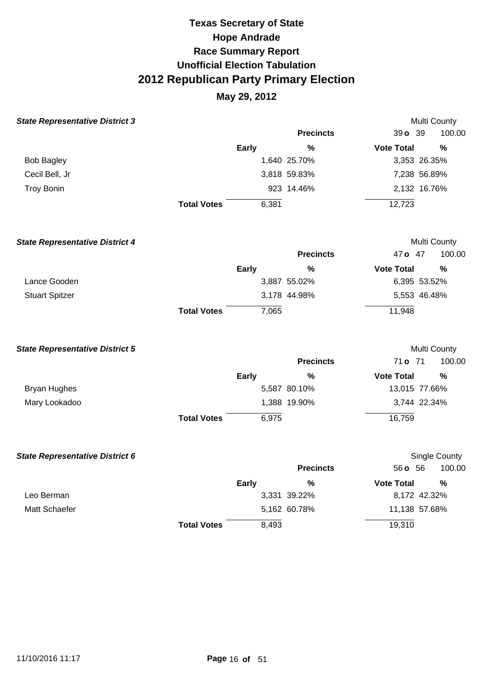## **May 29, 2012**

| <b>State Representative District 3</b> |                    |              |                  |                   | Multi County  |
|----------------------------------------|--------------------|--------------|------------------|-------------------|---------------|
|                                        |                    |              | <b>Precincts</b> | 39 o 39           | 100.00        |
|                                        |                    | <b>Early</b> | %                | <b>Vote Total</b> | $\frac{0}{0}$ |
| <b>Bob Bagley</b>                      |                    |              | 1,640 25.70%     |                   | 3,353 26.35%  |
| Cecil Bell, Jr                         |                    |              | 3,818 59.83%     |                   | 7,238 56.89%  |
| <b>Troy Bonin</b>                      |                    |              | 923 14.46%       |                   | 2,132 16.76%  |
|                                        | <b>Total Votes</b> | 6,381        |                  | 12,723            |               |
| <b>State Representative District 4</b> |                    |              |                  |                   | Multi County  |
|                                        |                    |              | <b>Precincts</b> | 47 o 47           | 100.00        |
|                                        |                    | Early        | %                | <b>Vote Total</b> | $\frac{0}{0}$ |
| Lance Gooden                           |                    |              | 3,887 55.02%     |                   | 6,395 53.52%  |
| <b>Stuart Spitzer</b>                  |                    |              | 3,178 44.98%     |                   | 5,553 46.48%  |
|                                        | <b>Total Votes</b> | 7,065        |                  | 11,948            |               |
| <b>State Representative District 5</b> |                    |              |                  |                   | Multi County  |
|                                        |                    |              | <b>Precincts</b> | 71 o 71           | 100.00        |
|                                        |                    | <b>Early</b> | %                | <b>Vote Total</b> | $\%$          |
| <b>Bryan Hughes</b>                    |                    |              | 5,587 80.10%     |                   | 13,015 77.66% |
| Mary Lookadoo                          |                    |              | 1,388 19.90%     |                   | 3,744 22.34%  |

| <b>State Representative District 6</b> |                    |              |                  |                   | Single County |
|----------------------------------------|--------------------|--------------|------------------|-------------------|---------------|
|                                        |                    |              | <b>Precincts</b> | 56 <b>o</b> 56    | 100.00        |
|                                        |                    | <b>Early</b> | %                | <b>Vote Total</b> | %             |
| Leo Berman                             |                    |              | 3,331 39.22%     | 8,172 42.32%      |               |
| Matt Schaefer                          |                    |              | 5,162 60.78%     | 11,138 57.68%     |               |
|                                        | <b>Total Votes</b> | 8,493        |                  | 19,310            |               |

**Total Votes**  6,975

16,759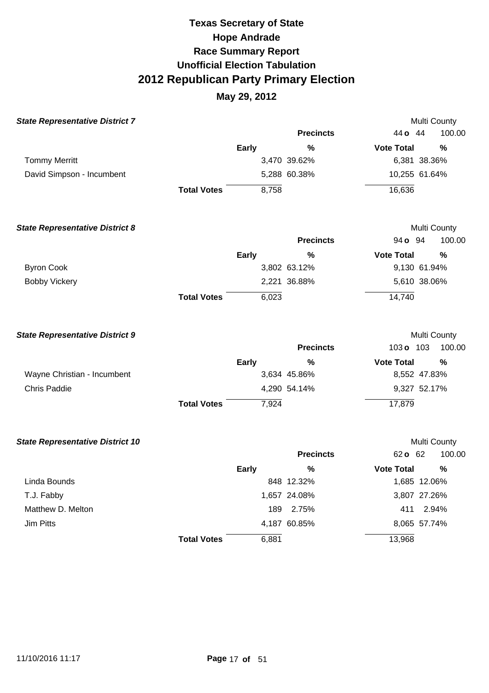| <b>State Representative District 7</b>  |                    |              |                  |                   | Multi County  |
|-----------------------------------------|--------------------|--------------|------------------|-------------------|---------------|
|                                         |                    |              | <b>Precincts</b> | 44 o 44           | 100.00        |
|                                         |                    | <b>Early</b> | $\frac{0}{0}$    | <b>Vote Total</b> | $\frac{0}{0}$ |
| <b>Tommy Merritt</b>                    |                    |              | 3,470 39.62%     |                   | 6,381 38.36%  |
| David Simpson - Incumbent               |                    |              | 5,288 60.38%     |                   | 10,255 61.64% |
|                                         | <b>Total Votes</b> | 8,758        |                  | 16,636            |               |
| <b>State Representative District 8</b>  |                    |              |                  |                   | Multi County  |
|                                         |                    |              | <b>Precincts</b> | 94 <b>o</b> 94    | 100.00        |
|                                         |                    | <b>Early</b> | $\frac{0}{0}$    | <b>Vote Total</b> | $\%$          |
| <b>Byron Cook</b>                       |                    |              | 3,802 63.12%     |                   | 9,130 61.94%  |
| <b>Bobby Vickery</b>                    |                    |              | 2,221 36.88%     |                   | 5,610 38.06%  |
|                                         | <b>Total Votes</b> | 6,023        |                  | 14,740            |               |
| <b>State Representative District 9</b>  |                    |              |                  |                   | Multi County  |
|                                         |                    |              | <b>Precincts</b> | 103 o 103         | 100.00        |
|                                         |                    | <b>Early</b> | %                | <b>Vote Total</b> | %             |
| Wayne Christian - Incumbent             |                    |              | 3,634 45.86%     |                   | 8,552 47.83%  |
| <b>Chris Paddie</b>                     |                    |              | 4,290 54.14%     |                   | 9,327 52.17%  |
|                                         | <b>Total Votes</b> | 7,924        |                  | 17,879            |               |
| <b>State Representative District 10</b> |                    |              |                  |                   | Multi County  |
|                                         |                    |              | <b>Precincts</b> | 62 o 62           | 100.00        |
|                                         |                    | <b>Early</b> | $\%$             | <b>Vote Total</b> | $\frac{0}{0}$ |
| Linda Bounds                            |                    |              | 848 12.32%       |                   | 1,685 12.06%  |
| T.J. Fabby                              |                    |              | 1,657 24.08%     |                   | 3,807 27.26%  |
| Matthew D. Melton                       |                    | 189          | 2.75%            |                   | 411 2.94%     |
| <b>Jim Pitts</b>                        |                    |              | 4,187 60.85%     |                   | 8,065 57.74%  |
|                                         | <b>Total Votes</b> | 6,881        |                  | 13,968            |               |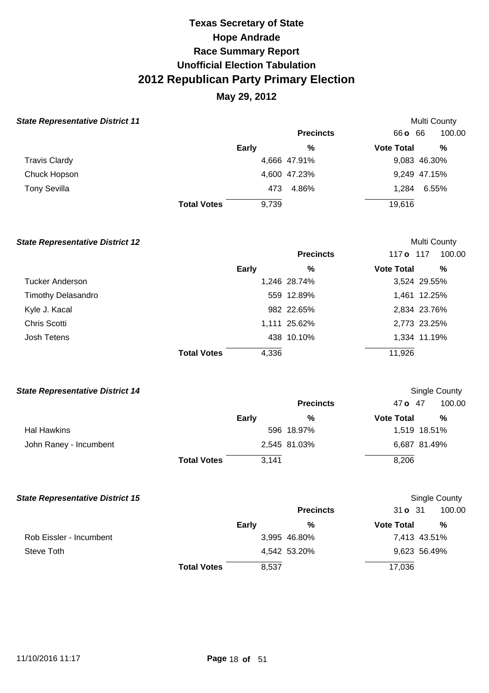## **May 29, 2012**

### **State Representative District 11 Multi County Multi County Multi County**

|                    |              | <b>Precincts</b> |                                     | 100.00                                                 |
|--------------------|--------------|------------------|-------------------------------------|--------------------------------------------------------|
|                    | <b>Early</b> | %                |                                     | %                                                      |
|                    |              |                  |                                     | 9,083 46.30%                                           |
|                    |              |                  |                                     | 9,249 47.15%                                           |
|                    |              | 4.86%            |                                     | 6.55%                                                  |
| <b>Total Votes</b> | 9,739        |                  |                                     |                                                        |
|                    |              |                  | 4,666 47.91%<br>4,600 47.23%<br>473 | 66 <b>c</b> 66<br><b>Vote Total</b><br>1.284<br>19,616 |

#### **State Representative District 12 Multi County Multi County Multi County**

|                           |                    |       | <b>Precincts</b> | 117 o 117         | 100.00       |
|---------------------------|--------------------|-------|------------------|-------------------|--------------|
|                           | <b>Early</b>       |       | %                | <b>Vote Total</b> | %            |
| Tucker Anderson           |                    |       | 1,246 28.74%     |                   | 3,524 29.55% |
| <b>Timothy Delasandro</b> |                    |       | 559 12.89%       |                   | 1,461 12.25% |
| Kyle J. Kacal             |                    |       | 982 22.65%       |                   | 2,834 23.76% |
| Chris Scotti              |                    |       | 1,111 25.62%     |                   | 2,773 23.25% |
| Josh Tetens               |                    |       | 438 10.10%       |                   | 1,334 11.19% |
|                           | <b>Total Votes</b> | 4,336 |                  | 11,926            |              |

#### **State Representative District 14 Single County Single County Single County Single County**

|                        |                    |       | <b>Precincts</b> | 47 o 47           | 100.00       |
|------------------------|--------------------|-------|------------------|-------------------|--------------|
|                        |                    | Early | %                | <b>Vote Total</b> | %            |
| Hal Hawkins            |                    |       | 596 18.97%       |                   | 1,519 18.51% |
| John Raney - Incumbent |                    |       | 2,545 81.03%     |                   | 6,687 81.49% |
|                        | <b>Total Votes</b> | 3,141 |                  | 8,206             |              |

#### **State Representative District 15**  Single County **State Representative District 15**

|                         |                    |       | <b>Precincts</b> | 31 o 31           | 100.00       |
|-------------------------|--------------------|-------|------------------|-------------------|--------------|
|                         |                    | Early | %                | <b>Vote Total</b> | $\%$         |
| Rob Eissler - Incumbent |                    |       | 3,995 46.80%     |                   | 7,413 43.51% |
| Steve Toth              |                    |       | 4,542 53.20%     |                   | 9,623 56.49% |
|                         | <b>Total Votes</b> | 8,537 |                  | 17,036            |              |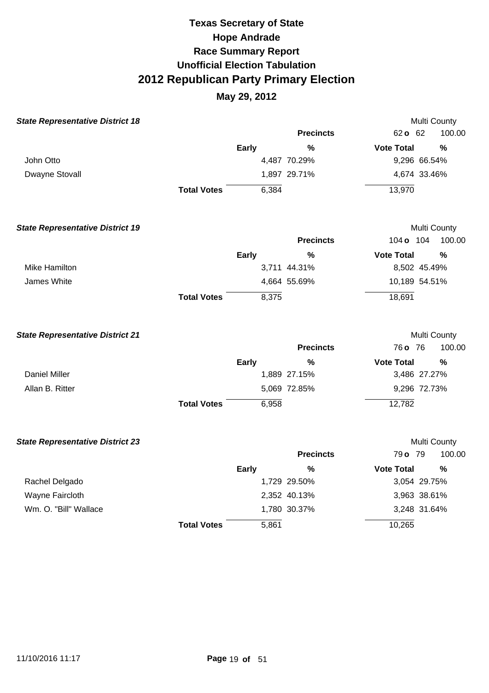| <b>State Representative District 18</b> |                    |              |                  |                   | Multi County  |
|-----------------------------------------|--------------------|--------------|------------------|-------------------|---------------|
|                                         |                    |              | <b>Precincts</b> | 62 o 62           | 100.00        |
|                                         |                    | Early        | $\frac{0}{0}$    | <b>Vote Total</b> | $\frac{0}{0}$ |
| John Otto                               |                    |              | 4,487 70.29%     | 9,296 66.54%      |               |
| Dwayne Stovall                          |                    |              | 1,897 29.71%     | 4,674 33.46%      |               |
|                                         | <b>Total Votes</b> | 6,384        |                  | 13,970            |               |
| <b>State Representative District 19</b> |                    |              |                  |                   | Multi County  |
|                                         |                    |              | <b>Precincts</b> | 104 o 104         | 100.00        |
|                                         |                    | Early        | %                | <b>Vote Total</b> | $\frac{0}{0}$ |
| Mike Hamilton                           |                    |              | 3,711 44.31%     | 8,502 45.49%      |               |
| James White                             |                    |              | 4,664 55.69%     | 10,189 54.51%     |               |
|                                         | <b>Total Votes</b> | 8,375        |                  | 18,691            |               |
| <b>State Representative District 21</b> |                    |              |                  |                   | Multi County  |
|                                         |                    |              | <b>Precincts</b> | 76 o 76           | 100.00        |
|                                         |                    | <b>Early</b> | %                | <b>Vote Total</b> | %             |
| <b>Daniel Miller</b>                    |                    |              | 1,889 27.15%     | 3,486 27.27%      |               |
| Allan B. Ritter                         |                    |              | 5,069 72.85%     | 9,296 72.73%      |               |
|                                         | <b>Total Votes</b> | 6,958        |                  | 12,782            |               |
| <b>State Representative District 23</b> |                    |              |                  |                   | Multi County  |
|                                         |                    |              | <b>Precincts</b> | 79 o 79           | 100.00        |
|                                         |                    | <b>Early</b> | %                | <b>Vote Total</b> | $\frac{0}{0}$ |
| Rachel Delgado                          |                    |              | 1,729 29.50%     | 3,054 29.75%      |               |
| Wayne Faircloth                         |                    |              | 2,352 40.13%     | 3,963 38.61%      |               |
| Wm. O. "Bill" Wallace                   |                    |              | 1,780 30.37%     | 3,248 31.64%      |               |
|                                         | <b>Total Votes</b> | 5,861        |                  | 10,265            |               |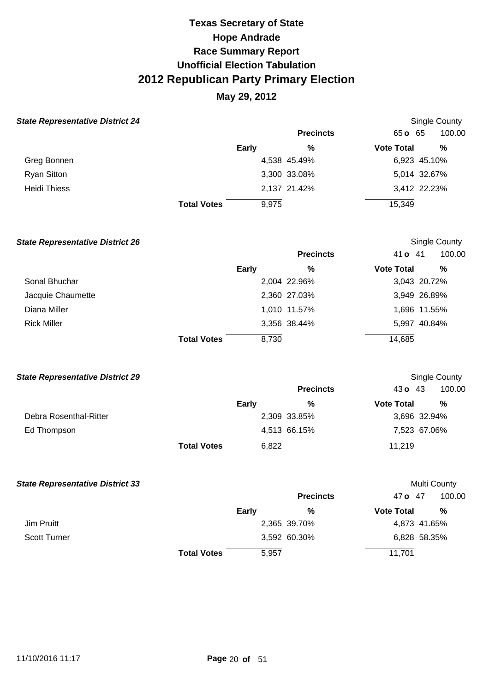## **May 29, 2012**

#### **State Representative District 24**

| <b>State Representative District 24</b> |                    |              |                  |                   | <b>Single County</b> |
|-----------------------------------------|--------------------|--------------|------------------|-------------------|----------------------|
|                                         |                    |              | <b>Precincts</b> | $65 \text{ o}$ 65 | 100.00               |
|                                         |                    | <b>Early</b> | %                | <b>Vote Total</b> | %                    |
| Greg Bonnen                             |                    |              | 4,538 45.49%     |                   | 6,923 45.10%         |
| <b>Ryan Sitton</b>                      |                    |              | 3,300 33.08%     |                   | 5,014 32.67%         |
| <b>Heidi Thiess</b>                     |                    |              | 2,137 21.42%     |                   | 3,412 22.23%         |
|                                         | <b>Total Votes</b> | 9,975        |                  | 15,349            |                      |

| <b>State Representative District 26</b> |                    |              |                  |                   | <b>Single County</b> |
|-----------------------------------------|--------------------|--------------|------------------|-------------------|----------------------|
|                                         |                    |              | <b>Precincts</b> | 41 <b>o</b> 41    | 100.00               |
|                                         |                    | <b>Early</b> | %                | <b>Vote Total</b> | %                    |
| Sonal Bhuchar                           |                    |              | 2,004 22.96%     |                   | 3,043 20.72%         |
| Jacquie Chaumette                       |                    |              | 2,360 27.03%     |                   | 3,949 26.89%         |
| Diana Miller                            |                    |              | 1,010 11.57%     |                   | 1,696 11.55%         |
| <b>Rick Miller</b>                      |                    |              | 3,356 38.44%     |                   | 5,997 40.84%         |
|                                         | <b>Total Votes</b> | 8,730        |                  | 14,685            |                      |

#### **State Representative District 29**

|                        |                    |       | <b>Precincts</b> | 43 $\sigma$ 43    | 100.00       |
|------------------------|--------------------|-------|------------------|-------------------|--------------|
|                        |                    | Early | %                | <b>Vote Total</b> | %            |
| Debra Rosenthal-Ritter |                    |       | 2,309 33.85%     |                   | 3,696 32.94% |
| Ed Thompson            |                    |       | 4,513 66.15%     |                   | 7,523 67.06% |
|                        | <b>Total Votes</b> | 6,822 |                  | 11,219            |              |

Single County

| <b>State Representative District 33</b> |                    |              |                  | Multi County      |              |
|-----------------------------------------|--------------------|--------------|------------------|-------------------|--------------|
|                                         |                    |              | <b>Precincts</b> | 47 o 47           | 100.00       |
|                                         |                    | <b>Early</b> | %                | <b>Vote Total</b> | %            |
| Jim Pruitt                              |                    |              | 2,365 39.70%     |                   | 4,873 41.65% |
| <b>Scott Turner</b>                     |                    |              | 3,592 60.30%     |                   | 6,828 58.35% |
|                                         | <b>Total Votes</b> | 5,957        |                  | 11,701            |              |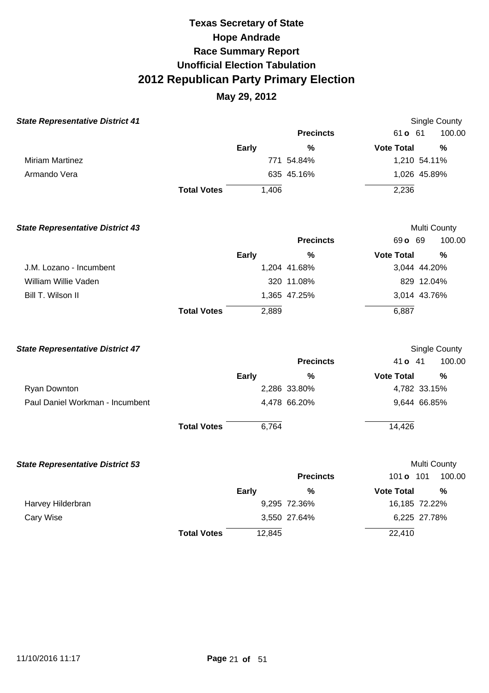| <b>State Representative District 41</b> |                    |              |                  |                   | Single County |
|-----------------------------------------|--------------------|--------------|------------------|-------------------|---------------|
|                                         |                    |              | <b>Precincts</b> | 61 <b>o</b> 61    | 100.00        |
|                                         |                    | <b>Early</b> | %                | <b>Vote Total</b> | $\frac{0}{0}$ |
| <b>Miriam Martinez</b>                  |                    |              | 771 54.84%       |                   | 1,210 54.11%  |
| Armando Vera                            |                    |              | 635 45.16%       |                   | 1,026 45.89%  |
|                                         | <b>Total Votes</b> | 1,406        |                  | 2,236             |               |
| <b>State Representative District 43</b> |                    |              |                  |                   | Multi County  |
|                                         |                    |              | <b>Precincts</b> | 69 o 69           | 100.00        |
|                                         |                    | <b>Early</b> | %                | <b>Vote Total</b> | %             |
| J.M. Lozano - Incumbent                 |                    |              | 1,204 41.68%     | 3,044 44.20%      |               |
| William Willie Vaden                    |                    |              | 320 11.08%       |                   | 829 12.04%    |
| Bill T. Wilson II                       |                    |              | 1,365 47.25%     | 3,014 43.76%      |               |
|                                         | <b>Total Votes</b> | 2,889        |                  | 6,887             |               |
| <b>State Representative District 47</b> |                    |              |                  |                   | Single County |
|                                         |                    |              | <b>Precincts</b> | 41 <b>o</b> 41    | 100.00        |
|                                         |                    | <b>Early</b> | %                | <b>Vote Total</b> | $\frac{0}{0}$ |
| Ryan Downton                            |                    |              | 2,286 33.80%     | 4,782 33.15%      |               |
| Paul Daniel Workman - Incumbent         |                    |              | 4,478 66.20%     | 9,644 66.85%      |               |
|                                         | <b>Total Votes</b> | 6,764        |                  | 14,426            |               |

| <b>State Representative District 53</b> |                    |              |                  | Multi County      |                |
|-----------------------------------------|--------------------|--------------|------------------|-------------------|----------------|
|                                         |                    |              | <b>Precincts</b> | 101 o             | 100.00<br>-101 |
|                                         |                    | <b>Early</b> | %                | <b>Vote Total</b> | %              |
| Harvey Hilderbran                       |                    |              | 9,295 72.36%     |                   | 16,185 72.22%  |
| Cary Wise                               |                    |              | 3,550 27.64%     |                   | 6,225 27.78%   |
|                                         | <b>Total Votes</b> | 12,845       |                  | 22,410            |                |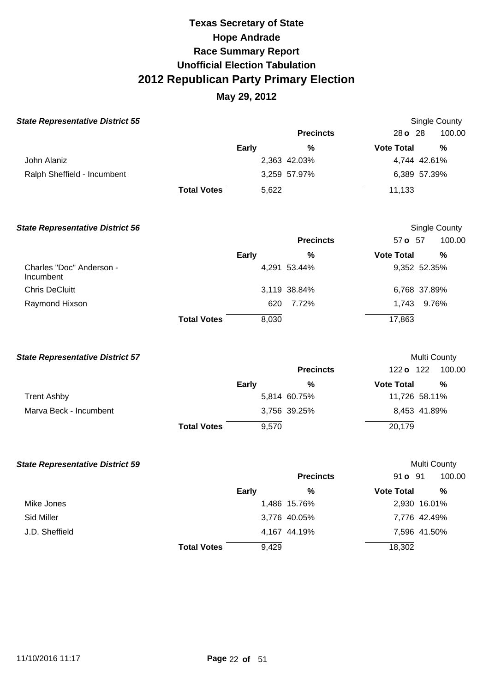| <b>State Representative District 55</b> |                    |              |                  |                   | Single County |  |  |
|-----------------------------------------|--------------------|--------------|------------------|-------------------|---------------|--|--|
|                                         |                    |              | <b>Precincts</b> | $28$ o $28$       | 100.00        |  |  |
|                                         |                    | <b>Early</b> | %                | <b>Vote Total</b> | %             |  |  |
| John Alaniz                             |                    |              | 2,363 42.03%     |                   | 4,744 42.61%  |  |  |
| Ralph Sheffield - Incumbent             |                    |              | 3,259 57.97%     |                   | 6,389 57.39%  |  |  |
|                                         | <b>Total Votes</b> | 5,622        |                  | 11,133            |               |  |  |

| <b>State Representative District 56</b> |                    |       |                  |                   | Single County |
|-----------------------------------------|--------------------|-------|------------------|-------------------|---------------|
|                                         |                    |       | <b>Precincts</b> | 57 o 57           | 100.00        |
|                                         |                    | Early | %                | <b>Vote Total</b> | %             |
| Charles "Doc" Anderson -<br>Incumbent   |                    |       | 4,291 53.44%     |                   | 9,352 52.35%  |
| <b>Chris DeCluitt</b>                   |                    |       | 3,119 38.84%     |                   | 6,768 37.89%  |
| Raymond Hixson                          |                    | 620   | 7.72%            | 1.743             | 9.76%         |
|                                         | <b>Total Votes</b> | 8,030 |                  | 17,863            |               |

| <b>State Representative District 57</b> |                    |              |                  | Multi County      |               |
|-----------------------------------------|--------------------|--------------|------------------|-------------------|---------------|
|                                         |                    |              | <b>Precincts</b> | 122 <b>o</b> 122  | 100.00        |
|                                         |                    | <b>Early</b> | %                | <b>Vote Total</b> | $\frac{0}{0}$ |
| <b>Trent Ashby</b>                      |                    |              | 5,814 60.75%     |                   | 11,726 58.11% |
| Marva Beck - Incumbent                  |                    |              | 3,756 39.25%     |                   | 8,453 41.89%  |
|                                         | <b>Total Votes</b> | 9.570        |                  | 20,179            |               |

| <b>State Representative District 59</b> |                    |              |                  |                   | Multi County |
|-----------------------------------------|--------------------|--------------|------------------|-------------------|--------------|
|                                         |                    |              | <b>Precincts</b> | 91 <b>o</b> 91    | 100.00       |
|                                         |                    | <b>Early</b> | %                | <b>Vote Total</b> | %            |
| Mike Jones                              |                    |              | 1,486 15.76%     |                   | 2,930 16.01% |
| Sid Miller                              |                    |              | 3,776 40.05%     |                   | 7,776 42.49% |
| J.D. Sheffield                          |                    |              | 4,167 44.19%     |                   | 7,596 41.50% |
|                                         | <b>Total Votes</b> | 9,429        |                  | 18,302            |              |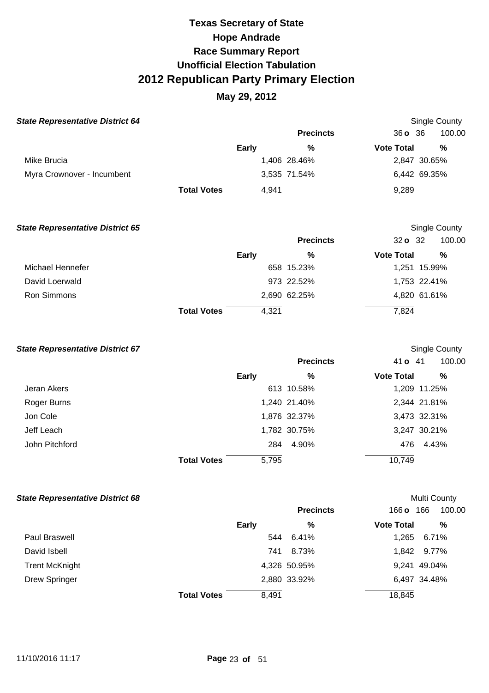## **May 29, 2012**

| <b>State Representative District 64</b> |                    |       |                  |                   | <b>Single County</b> |
|-----------------------------------------|--------------------|-------|------------------|-------------------|----------------------|
|                                         |                    |       | <b>Precincts</b> | 360, 36           | 100.00               |
|                                         |                    | Early | %                | <b>Vote Total</b> | %                    |
| Mike Brucia                             |                    |       | 1,406 28.46%     |                   | 2,847 30.65%         |
| Myra Crownover - Incumbent              |                    |       | 3,535 71.54%     |                   | 6,442 69.35%         |
|                                         | <b>Total Votes</b> | 4.941 |                  | 9,289             |                      |

| <b>State Representative District 65</b> |                    |              |                  |                   | Single County |
|-----------------------------------------|--------------------|--------------|------------------|-------------------|---------------|
|                                         |                    |              | <b>Precincts</b> | 32 o 32           | 100.00        |
|                                         |                    | <b>Early</b> | %                | <b>Vote Total</b> | %             |
| Michael Hennefer                        |                    |              | 658 15.23%       |                   | 1,251 15.99%  |
| David Loerwald                          |                    |              | 973 22.52%       |                   | 1,753 22.41%  |
| Ron Simmons                             |                    |              | 2,690 62.25%     |                   | 4,820 61.61%  |
|                                         | <b>Total Votes</b> | 4.321        |                  | 7,824             |               |

#### **State Representative District 67 Single County State Representative District 67 Single County**

|                |                    |       | <b>Precincts</b> | 41 o 41           | 100.00       |
|----------------|--------------------|-------|------------------|-------------------|--------------|
|                | Early              |       | %                | <b>Vote Total</b> | %            |
| Jeran Akers    |                    |       | 613 10.58%       |                   | 1,209 11.25% |
| Roger Burns    |                    |       | 1,240 21.40%     |                   | 2,344 21.81% |
| Jon Cole       |                    |       | 1,876 32.37%     |                   | 3,473 32.31% |
| Jeff Leach     |                    |       | 1,782 30.75%     |                   | 3,247 30.21% |
| John Pitchford |                    | 284   | 4.90%            | 476               | 4.43%        |
|                | <b>Total Votes</b> | 5,795 |                  | 10,749            |              |

#### **State Representative District 68 Multi County Multi County Multi County**

|                       |                    |              | <b>Precincts</b> | 166 <b>o</b>      | 100.00<br>166 |
|-----------------------|--------------------|--------------|------------------|-------------------|---------------|
|                       |                    | <b>Early</b> | %                | <b>Vote Total</b> | %             |
| Paul Braswell         |                    | 544          | 6.41%            | 1,265             | 6.71%         |
| David Isbell          |                    | 741          | 8.73%            |                   | 1,842 9.77%   |
| <b>Trent McKnight</b> |                    |              | 4,326 50.95%     |                   | 9,241 49.04%  |
| <b>Drew Springer</b>  |                    |              | 2,880 33.92%     |                   | 6,497 34.48%  |
|                       | <b>Total Votes</b> | 8,491        |                  | 18,845            |               |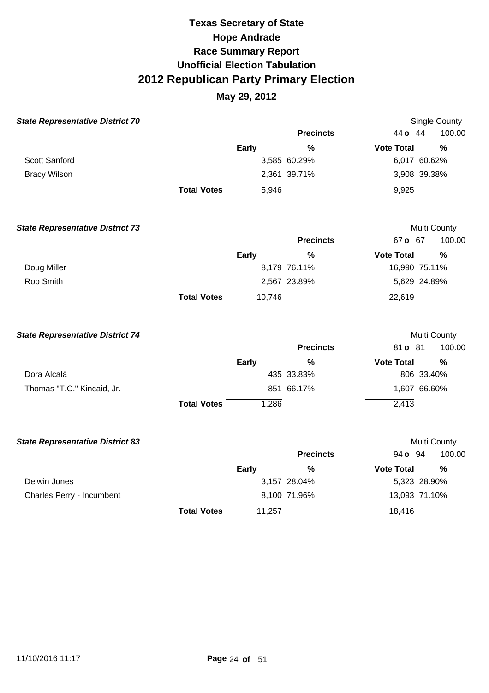| <b>State Representative District 70</b> |                    |              |                  |                   | Single County |
|-----------------------------------------|--------------------|--------------|------------------|-------------------|---------------|
|                                         |                    |              | <b>Precincts</b> | 44 <b>o</b> 44    | 100.00        |
|                                         |                    | <b>Early</b> | $\%$             | <b>Vote Total</b> | %             |
| Scott Sanford                           |                    |              | 3,585 60.29%     | 6,017 60.62%      |               |
| <b>Bracy Wilson</b>                     |                    |              | 2,361 39.71%     | 3,908 39.38%      |               |
|                                         | <b>Total Votes</b> | 5,946        |                  | 9,925             |               |
| <b>State Representative District 73</b> |                    |              |                  |                   | Multi County  |
|                                         |                    |              | <b>Precincts</b> | 67 o 67           | 100.00        |
|                                         |                    | <b>Early</b> | $\frac{0}{0}$    | <b>Vote Total</b> | $\frac{0}{0}$ |
| Doug Miller                             |                    |              | 8,179 76.11%     | 16,990 75.11%     |               |
| Rob Smith                               |                    |              | 2,567 23.89%     | 5,629 24.89%      |               |
|                                         | <b>Total Votes</b> | 10,746       |                  | 22,619            |               |
| <b>State Representative District 74</b> |                    |              |                  |                   | Multi County  |
|                                         |                    |              | <b>Precincts</b> | 81 o 81           | 100.00        |
|                                         |                    | <b>Early</b> | $\frac{0}{0}$    | <b>Vote Total</b> | %             |
| Dora Alcalá                             |                    |              | 435 33.83%       | 806 33.40%        |               |
| Thomas "T.C." Kincaid, Jr.              |                    |              | 851 66.17%       | 1,607 66.60%      |               |
|                                         | <b>Total Votes</b> | 1,286        |                  | 2,413             |               |
| <b>State Representative District 83</b> |                    |              |                  |                   | Multi County  |
|                                         |                    |              | <b>Precincts</b> | 94 <b>o</b> 94    | 100.00        |
|                                         |                    | <b>Early</b> | $\frac{0}{0}$    | <b>Vote Total</b> | $\frac{0}{0}$ |
| Delwin Jones                            |                    |              | 3,157 28.04%     | 5,323 28.90%      |               |
| Charles Perry - Incumbent               |                    |              | 8,100 71.96%     | 13,093 71.10%     |               |
|                                         | <b>Total Votes</b> | 11,257       |                  | 18,416            |               |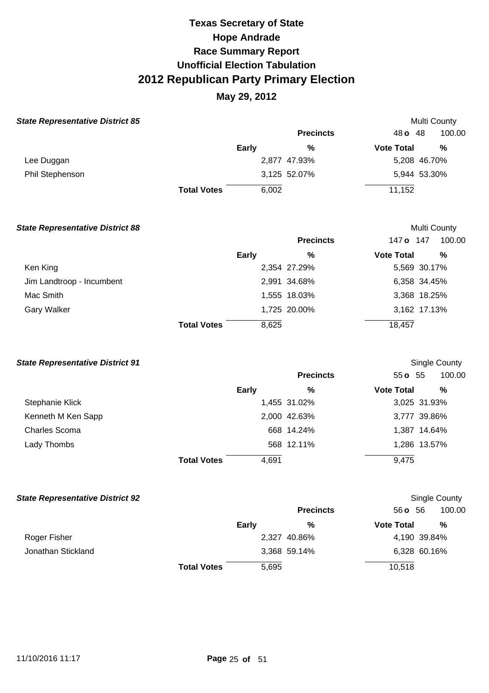### **May 29, 2012**

100.00

100.00

**%** 

 $M \cup C$ 

| <b>State Representative District 85</b> |                    |              |                  |                   | <b>Multi County</b> |
|-----------------------------------------|--------------------|--------------|------------------|-------------------|---------------------|
|                                         |                    |              | <b>Precincts</b> | 48 o 48           | 100.0               |
|                                         |                    | <b>Early</b> | %                | <b>Vote Total</b> | %                   |
| Lee Duggan                              |                    |              | 2,877 47.93%     |                   | 5,208 46.70%        |
| Phil Stephenson                         |                    |              | 3,125 52.07%     |                   | 5,944 53.30%        |
|                                         | <b>Total Votes</b> | 6,002        |                  | 11,152            |                     |
|                                         |                    |              |                  |                   |                     |

| <b>State Representative District 88</b> |                    |              |                  |                   | <b>Multi County</b> |
|-----------------------------------------|--------------------|--------------|------------------|-------------------|---------------------|
|                                         |                    |              | <b>Precincts</b> | 147 o             | 100.00<br>147       |
|                                         |                    | <b>Early</b> | %                | <b>Vote Total</b> | %                   |
| Ken King                                |                    |              | 2,354 27.29%     |                   | 5,569 30.17%        |
| Jim Landtroop - Incumbent               |                    |              | 2,991 34.68%     |                   | 6,358 34.45%        |
| Mac Smith                               |                    |              | 1,555 18.03%     |                   | 3,368 18.25%        |
| <b>Gary Walker</b>                      |                    |              | 1,725 20.00%     |                   | 3,162 17.13%        |
|                                         | <b>Total Votes</b> | 8,625        |                  | 18,457            |                     |

#### **State Representative District 91**  Stephanie Klick Kenneth M Ken Sapp Charles Scoma Lady Thombs **Total Votes Early**  1,455 31.02% 2,000 42.63% 668 14.24% 568 12.11% 4,691 **Precincts %**  55 **o** 55 **Vote Total**  Single County 3,025 31.93% 3,777 39.86% 1,387 14.64% 1,286 13.57% 9,475

#### **State Representative District 92**  Roger Fisher Jonathan Stickland **Total Votes Early**  2,327 40.86% 3,368 59.14% 5,695 **Precincts %**  56 **o** 56 **Vote Total**  100.00 Single County **%**  4,190 39.84% 6,328 60.16% 10,518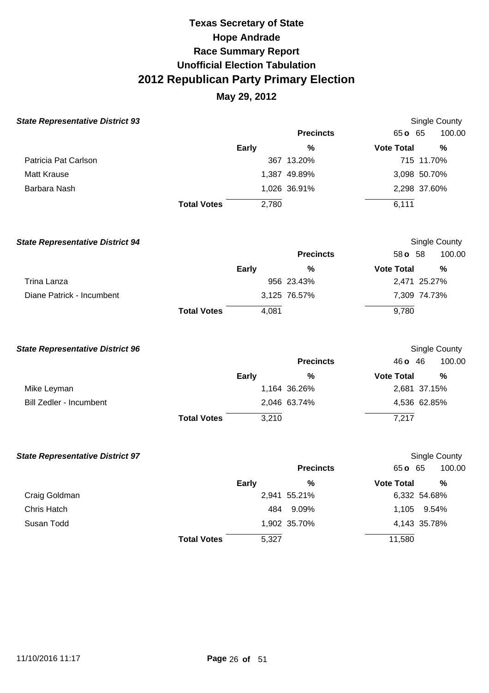| <b>State Representative District 93</b> |                    |              |                  |                   | <b>Single County</b> |
|-----------------------------------------|--------------------|--------------|------------------|-------------------|----------------------|
|                                         |                    |              | <b>Precincts</b> | 65 o 65           | 100.00               |
|                                         |                    | <b>Early</b> | %                | <b>Vote Total</b> | %                    |
| Patricia Pat Carlson                    |                    |              | 367 13.20%       |                   | 715 11.70%           |
| Matt Krause                             |                    |              | 1,387 49.89%     |                   | 3,098 50.70%         |
| Barbara Nash                            |                    |              | 1,026 36.91%     |                   | 2,298 37.60%         |
|                                         | <b>Total Votes</b> | 2,780        |                  | 6,111             |                      |

| <b>State Representative District 94</b> |                    |       |                  |                   | Single County |  |  |
|-----------------------------------------|--------------------|-------|------------------|-------------------|---------------|--|--|
|                                         |                    |       | <b>Precincts</b> | 58 <b>o</b> 58    | 100.00        |  |  |
|                                         |                    | Early | %                | <b>Vote Total</b> | %             |  |  |
| Trina Lanza                             |                    |       | 956 23.43%       |                   | 2,471 25.27%  |  |  |
| Diane Patrick - Incumbent               |                    |       | 3,125 76.57%     |                   | 7,309 74.73%  |  |  |
|                                         | <b>Total Votes</b> | 4.081 |                  | 9,780             |               |  |  |

| <b>State Representative District 96</b> |                    |              |                  |                   | Single County |
|-----------------------------------------|--------------------|--------------|------------------|-------------------|---------------|
|                                         |                    |              | <b>Precincts</b> | $46$ o $46$       | 100.00        |
|                                         |                    | <b>Early</b> | %                | <b>Vote Total</b> | %             |
| Mike Leyman                             |                    |              | 1,164 36.26%     |                   | 2,681 37.15%  |
| Bill Zedler - Incumbent                 |                    |              | 2,046 63.74%     |                   | 4,536 62.85%  |
|                                         | <b>Total Votes</b> | 3,210        |                  | 7,217             |               |

| <b>State Representative District 97</b> |                    |              |                  |                   | Single County |
|-----------------------------------------|--------------------|--------------|------------------|-------------------|---------------|
|                                         |                    |              | <b>Precincts</b> | 65 o 65           | 100.00        |
|                                         |                    | <b>Early</b> | %                | <b>Vote Total</b> | %             |
| Craig Goldman                           |                    |              | 2,941 55.21%     |                   | 6,332 54.68%  |
| Chris Hatch                             |                    | 484          | 9.09%            | 1.105             | 9.54%         |
| Susan Todd                              |                    |              | 1,902 35.70%     |                   | 4,143 35.78%  |
|                                         | <b>Total Votes</b> | 5,327        |                  | 11,580            |               |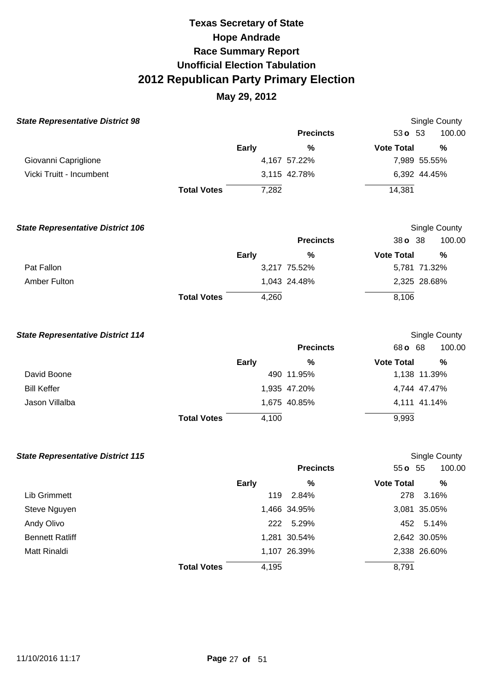| <b>State Representative District 98</b>  |                    |              |                  | Single County            |        |
|------------------------------------------|--------------------|--------------|------------------|--------------------------|--------|
|                                          |                    |              | <b>Precincts</b> | $53o$ 53                 | 100.00 |
|                                          |                    | Early        | %                | <b>Vote Total</b>        | %      |
| Giovanni Capriglione                     |                    |              | 4,167 57.22%     | 7,989 55.55%             |        |
| Vicki Truitt - Incumbent                 |                    |              | 3,115 42.78%     | 6,392 44.45%             |        |
|                                          | <b>Total Votes</b> | 7,282        |                  | 14,381                   |        |
| <b>State Representative District 106</b> |                    |              |                  | Single County            |        |
|                                          |                    |              | <b>Precincts</b> | 38 o 38                  | 100.00 |
|                                          |                    | <b>Early</b> | %                | <b>Vote Total</b>        | %      |
| Pat Fallon                               |                    |              | 3,217 75.52%     | 5,781 71.32%             |        |
| <b>Amber Fulton</b>                      |                    |              | 1,043 24.48%     | 2,325 28.68%             |        |
|                                          | <b>Total Votes</b> | 4,260        |                  | 8,106                    |        |
| <b>State Representative District 114</b> |                    |              | <b>Precincts</b> | Single County<br>68 o 68 | 100.00 |
|                                          |                    |              |                  | <b>Vote Total</b>        |        |
| David Boone                              |                    | <b>Early</b> | %<br>490 11.95%  | 1,138 11.39%             | %      |
| <b>Bill Keffer</b>                       |                    |              | 1,935 47.20%     | 4,744 47.47%             |        |
| Jason Villalba                           |                    |              | 1,675 40.85%     | 4,111 41.14%             |        |
|                                          | <b>Total Votes</b> | 4,100        |                  | 9,993                    |        |
| <b>State Representative District 115</b> |                    |              |                  | Single County            |        |
|                                          |                    |              | <b>Precincts</b> | 55 o 55                  | 100.00 |
|                                          |                    | <b>Early</b> | $\%$             | <b>Vote Total</b>        | $\%$   |
| Lib Grimmett                             |                    |              | 119 2.84%        | 278<br>3.16%             |        |
| Steve Nguyen                             |                    |              | 1,466 34.95%     | 3,081 35.05%             |        |
| Andy Olivo                               |                    |              | 222 5.29%        | 452 5.14%                |        |
| <b>Bennett Ratliff</b>                   |                    |              | 1,281 30.54%     | 2,642 30.05%             |        |
| Matt Rinaldi                             |                    |              | 1,107 26.39%     | 2,338 26.60%             |        |
|                                          | <b>Total Votes</b> | 4,195        |                  | 8,791                    |        |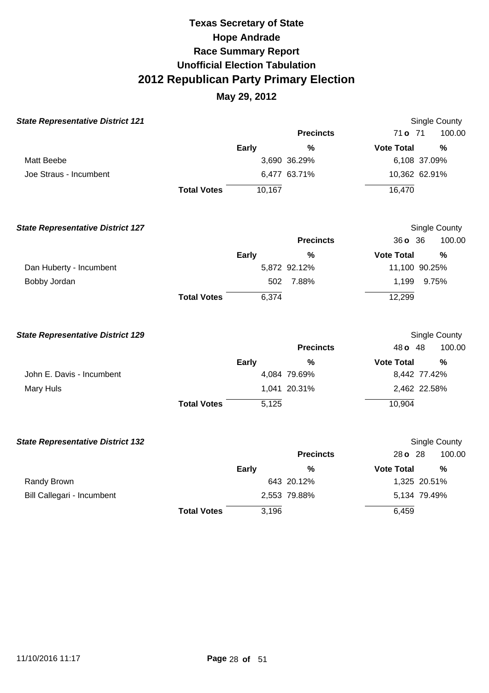| <b>State Representative District 121</b> |                    |              |                  |                   | Single County |
|------------------------------------------|--------------------|--------------|------------------|-------------------|---------------|
|                                          |                    |              | <b>Precincts</b> | 71 o 71           | 100.00        |
|                                          |                    | <b>Early</b> | $\%$             | <b>Vote Total</b> | %             |
| <b>Matt Beebe</b>                        |                    |              | 3,690 36.29%     | 6,108 37.09%      |               |
| Joe Straus - Incumbent                   |                    |              | 6,477 63.71%     | 10,362 62.91%     |               |
|                                          | <b>Total Votes</b> | 10,167       |                  | 16,470            |               |
| <b>State Representative District 127</b> |                    |              |                  |                   | Single County |
|                                          |                    |              | <b>Precincts</b> | 36 o 36           | 100.00        |
|                                          |                    | <b>Early</b> | $\%$             | <b>Vote Total</b> | $\frac{0}{0}$ |
| Dan Huberty - Incumbent                  |                    |              | 5,872 92.12%     | 11,100 90.25%     |               |
| Bobby Jordan                             |                    | 502          | 7.88%            | 1,199             | 9.75%         |
|                                          | <b>Total Votes</b> | 6,374        |                  | 12,299            |               |
| <b>State Representative District 129</b> |                    |              |                  |                   | Single County |
|                                          |                    |              | <b>Precincts</b> | 48 o 48           | 100.00        |
|                                          |                    | <b>Early</b> | %                | <b>Vote Total</b> | %             |
| John E. Davis - Incumbent                |                    |              | 4,084 79.69%     | 8,442 77.42%      |               |
| Mary Huls                                |                    |              | 1,041 20.31%     | 2,462 22.58%      |               |
|                                          | <b>Total Votes</b> | 5,125        |                  | 10,904            |               |
| <b>State Representative District 132</b> |                    |              |                  |                   | Single County |
|                                          |                    |              | <b>Precincts</b> | 28 o 28           | 100.00        |
|                                          |                    | <b>Early</b> | $\%$             | <b>Vote Total</b> | %             |
| Randy Brown                              |                    |              | 643 20.12%       | 1,325 20.51%      |               |
| Bill Callegari - Incumbent               |                    |              | 2,553 79.88%     | 5,134 79.49%      |               |
|                                          | <b>Total Votes</b> | 3,196        |                  | 6,459             |               |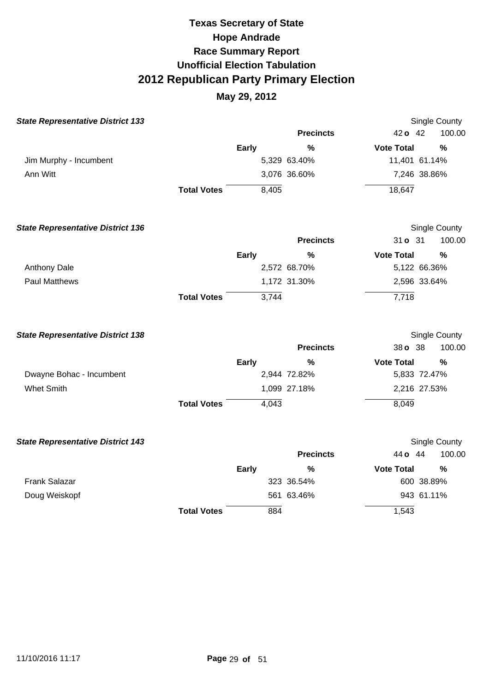| <b>State Representative District 133</b> |                    |              |                  |                   | <b>Single County</b> |
|------------------------------------------|--------------------|--------------|------------------|-------------------|----------------------|
|                                          |                    |              | <b>Precincts</b> | 42 o 42           | 100.00               |
|                                          |                    | Early        | $\frac{0}{0}$    | <b>Vote Total</b> | $\frac{0}{0}$        |
| Jim Murphy - Incumbent                   |                    |              | 5,329 63.40%     | 11,401 61.14%     |                      |
| Ann Witt                                 |                    |              | 3,076 36.60%     | 7,246 38.86%      |                      |
|                                          | <b>Total Votes</b> | 8,405        |                  | 18,647            |                      |
| <b>State Representative District 136</b> |                    |              |                  |                   | Single County        |
|                                          |                    |              | <b>Precincts</b> | 31 <b>o</b> 31    | 100.00               |
|                                          |                    | <b>Early</b> | $\frac{0}{0}$    | <b>Vote Total</b> | $\frac{0}{0}$        |
| Anthony Dale                             |                    |              | 2,572 68.70%     | 5,122 66.36%      |                      |
| <b>Paul Matthews</b>                     |                    |              | 1,172 31.30%     | 2,596 33.64%      |                      |
|                                          | <b>Total Votes</b> | 3,744        |                  | 7,718             |                      |
| <b>State Representative District 138</b> |                    |              |                  |                   | <b>Single County</b> |
|                                          |                    |              | <b>Precincts</b> | 38 o 38           | 100.00               |
|                                          |                    | <b>Early</b> | %                | <b>Vote Total</b> | $\frac{0}{0}$        |
| Dwayne Bohac - Incumbent                 |                    |              | 2,944 72.82%     | 5,833 72.47%      |                      |
| <b>Whet Smith</b>                        |                    |              | 1,099 27.18%     | 2,216 27.53%      |                      |
|                                          | <b>Total Votes</b> | 4,043        |                  | 8,049             |                      |
| <b>State Representative District 143</b> |                    |              |                  |                   | Single County        |
|                                          |                    |              | <b>Precincts</b> | 44 o 44           | 100.00               |
|                                          |                    | <b>Early</b> | %                | <b>Vote Total</b> | %                    |
| <b>Frank Salazar</b>                     |                    |              | 323 36.54%       | 600 38.89%        |                      |
| Doug Weiskopf                            |                    |              | 561 63.46%       | 943 61.11%        |                      |
|                                          | <b>Total Votes</b> | 884          |                  | 1,543             |                      |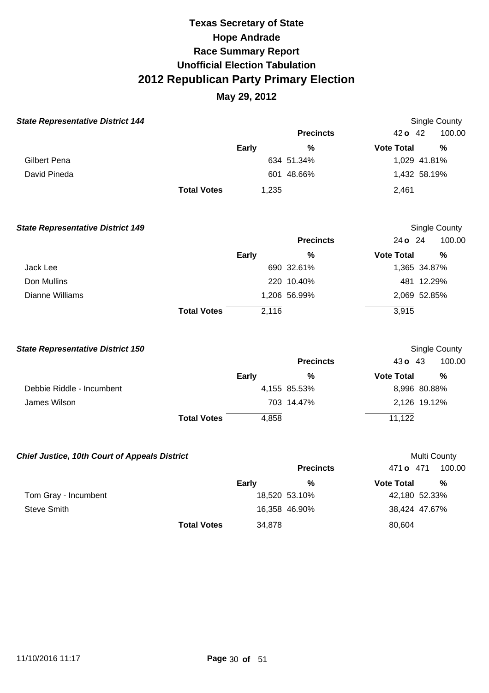| <b>State Representative District 144</b>             |                    |              |                  |                   | Single County |
|------------------------------------------------------|--------------------|--------------|------------------|-------------------|---------------|
|                                                      |                    |              | <b>Precincts</b> | $42o$ 42          | 100.00        |
|                                                      |                    | <b>Early</b> | %                | <b>Vote Total</b> | $\frac{0}{0}$ |
| <b>Gilbert Pena</b>                                  |                    |              | 634 51.34%       | 1,029 41.81%      |               |
| David Pineda                                         |                    |              | 601 48.66%       | 1,432 58.19%      |               |
|                                                      | <b>Total Votes</b> | 1,235        |                  | 2,461             |               |
| <b>State Representative District 149</b>             |                    |              |                  |                   | Single County |
|                                                      |                    |              | <b>Precincts</b> | 24 o 24           | 100.00        |
|                                                      |                    | <b>Early</b> | $\frac{0}{0}$    | <b>Vote Total</b> | $\%$          |
| Jack Lee                                             |                    |              | 690 32.61%       | 1,365 34.87%      |               |
| Don Mullins                                          |                    |              | 220 10.40%       | 481 12.29%        |               |
| <b>Dianne Williams</b>                               |                    |              | 1,206 56.99%     | 2,069 52.85%      |               |
|                                                      | <b>Total Votes</b> | 2,116        |                  | 3,915             |               |
| <b>State Representative District 150</b>             |                    |              |                  |                   | Single County |
|                                                      |                    |              | <b>Precincts</b> | 43 o 43           | 100.00        |
|                                                      |                    | <b>Early</b> | %                | <b>Vote Total</b> | %             |
| Debbie Riddle - Incumbent                            |                    |              | 4,155 85.53%     | 8,996 80.88%      |               |
| James Wilson                                         |                    |              | 703 14.47%       | 2,126 19.12%      |               |
|                                                      | <b>Total Votes</b> | 4,858        |                  | 11,122            |               |
| <b>Chief Justice, 10th Court of Appeals District</b> |                    |              |                  | Multi County      |               |
|                                                      |                    |              | <b>Precincts</b> | 471 o 471         | 100.00        |
|                                                      |                    | <b>Early</b> | %                | <b>Vote Total</b> | %             |
| Tom Gray - Incumbent                                 |                    |              | 18,520 53.10%    | 42,180 52.33%     |               |
| <b>Steve Smith</b>                                   |                    |              | 16,358 46.90%    | 38,424 47.67%     |               |
|                                                      | <b>Total Votes</b> | 34,878       |                  | 80,604            |               |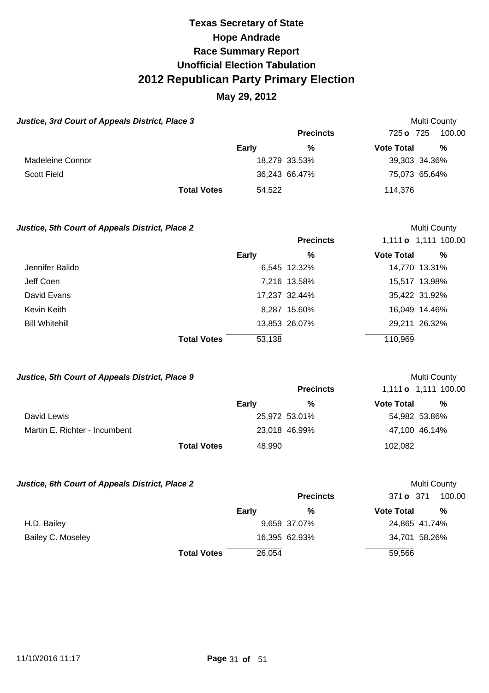### **May 29, 2012**

| Justice, 3rd Court of Appeals District, Place 3 |              |                  |                     | Multi County  |
|-------------------------------------------------|--------------|------------------|---------------------|---------------|
|                                                 |              | <b>Precincts</b> | $725 \text{ o}$ 725 | 100.00        |
|                                                 | <b>Early</b> | %                | <b>Vote Total</b>   | %             |
| Madeleine Connor                                |              | 18,279 33.53%    |                     | 39,303 34.36% |
| Scott Field                                     |              | 36,243 66.47%    |                     | 75,073 65.64% |
| <b>Total Votes</b>                              | 54.522       |                  | 114.376             |               |

#### **Justice, 5th Court of Appeals District, Place 2** and the set of the Multi County of Multi County

|                       |                              | <b>Precincts</b> |                   | 1,111 o 1,111 100.00 |
|-----------------------|------------------------------|------------------|-------------------|----------------------|
|                       | Early                        | %                | <b>Vote Total</b> | %                    |
| Jennifer Balido       |                              | 6,545 12.32%     |                   | 14,770 13.31%        |
| Jeff Coen             |                              | 7,216 13.58%     |                   | 15,517 13.98%        |
| David Evans           |                              | 17,237 32.44%    |                   | 35,422 31.92%        |
| Kevin Keith           |                              | 8,287 15.60%     |                   | 16,049 14.46%        |
| <b>Bill Whitehill</b> |                              | 13,853 26.07%    |                   | 29,211 26.32%        |
|                       | <b>Total Votes</b><br>53,138 |                  | 110,969           |                      |

#### **Justice, 5th Court of Appeals District, Place 9 <br>
Multi County**

|                               |                    |        | <b>Precincts</b> |                   | 1,111 o 1,111 100.00 |
|-------------------------------|--------------------|--------|------------------|-------------------|----------------------|
|                               |                    | Early  | %                | <b>Vote Total</b> | %                    |
| David Lewis                   |                    |        | 25,972 53.01%    |                   | 54,982 53.86%        |
| Martin E. Richter - Incumbent |                    |        | 23,018 46.99%    |                   | 47,100 46.14%        |
|                               | <b>Total Votes</b> | 48,990 |                  | 102,082           |                      |

#### **Justice, 6th Court of Appeals District, Place 2 Multi County Multi County**

|                   |                    |        | <b>Precincts</b> | 371 <b>o</b> 371  | 100.00        |
|-------------------|--------------------|--------|------------------|-------------------|---------------|
|                   |                    | Early  | %                | <b>Vote Total</b> | %             |
| H.D. Bailey       |                    |        | 9,659 37.07%     |                   | 24,865 41.74% |
| Bailey C. Moseley |                    |        | 16,395 62.93%    |                   | 34,701 58.26% |
|                   | <b>Total Votes</b> | 26,054 |                  | 59,566            |               |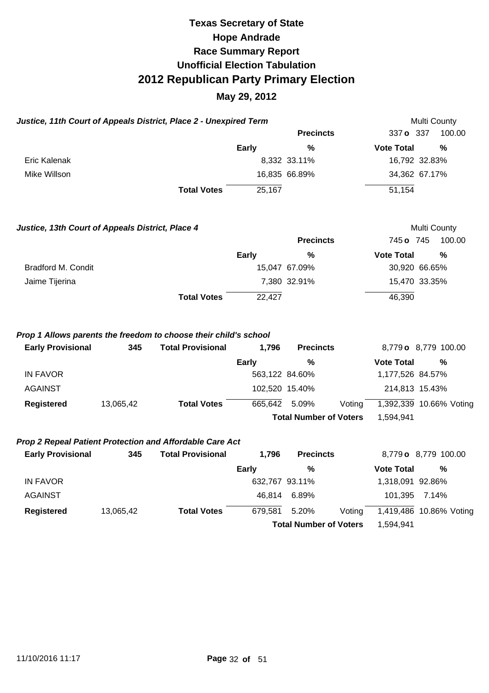### **May 29, 2012**

|                                                  | Justice, 11th Court of Appeals District, Place 2 - Unexpired Term |                                                                                              |                |                               |        | Multi County      |                         |
|--------------------------------------------------|-------------------------------------------------------------------|----------------------------------------------------------------------------------------------|----------------|-------------------------------|--------|-------------------|-------------------------|
|                                                  |                                                                   |                                                                                              |                | <b>Precincts</b>              |        | 337 o 337         | 100.00                  |
|                                                  |                                                                   |                                                                                              | <b>Early</b>   | %                             |        | <b>Vote Total</b> | $\frac{0}{0}$           |
| <b>Eric Kalenak</b>                              |                                                                   |                                                                                              |                | 8,332 33.11%                  |        |                   | 16,792 32.83%           |
| Mike Willson                                     |                                                                   |                                                                                              |                | 16,835 66.89%                 |        |                   | 34,362 67.17%           |
|                                                  |                                                                   | <b>Total Votes</b>                                                                           | 25,167         |                               |        | 51,154            |                         |
| Justice, 13th Court of Appeals District, Place 4 |                                                                   |                                                                                              |                |                               |        |                   | Multi County            |
|                                                  |                                                                   |                                                                                              |                | <b>Precincts</b>              |        | 745 o 745         | 100.00                  |
|                                                  |                                                                   |                                                                                              | <b>Early</b>   | %                             |        | <b>Vote Total</b> | $\frac{0}{0}$           |
| Bradford M. Condit                               |                                                                   |                                                                                              |                | 15,047 67.09%                 |        |                   | 30,920 66.65%           |
| Jaime Tijerina                                   |                                                                   |                                                                                              |                | 7,380 32.91%                  |        |                   | 15,470 33.35%           |
|                                                  |                                                                   | <b>Total Votes</b>                                                                           | 22,427         |                               |        | 46,390            |                         |
| <b>Early Provisional</b>                         | 345                                                               | Prop 1 Allows parents the freedom to choose their child's school<br><b>Total Provisional</b> | 1,796          | <b>Precincts</b>              |        |                   | 8,779 o 8,779 100.00    |
|                                                  |                                                                   |                                                                                              | <b>Early</b>   | %                             |        | <b>Vote Total</b> | %                       |
| <b>IN FAVOR</b>                                  |                                                                   |                                                                                              | 563,122 84.60% |                               |        | 1,177,526 84.57%  |                         |
| <b>AGAINST</b>                                   |                                                                   |                                                                                              |                | 102,520 15.40%                |        | 214,813 15.43%    |                         |
| <b>Registered</b>                                | 13,065,42                                                         | <b>Total Votes</b>                                                                           | 665,642        | 5.09%                         | Voting |                   | 1,392,339 10.66% Voting |
|                                                  |                                                                   |                                                                                              |                | <b>Total Number of Voters</b> |        | 1,594,941         |                         |
|                                                  |                                                                   | Prop 2 Repeal Patient Protection and Affordable Care Act                                     |                |                               |        |                   |                         |
| <b>Early Provisional</b>                         | 345                                                               | <b>Total Provisional</b>                                                                     | 1,796          | <b>Precincts</b>              |        |                   | 8,779 o 8,779 100.00    |
|                                                  |                                                                   |                                                                                              | <b>Early</b>   | %                             |        | <b>Vote Total</b> | $\frac{0}{0}$           |
| <b>IN FAVOR</b>                                  |                                                                   |                                                                                              | 632,767 93.11% |                               |        | 1,318,091 92.86%  |                         |
| <b>AGAINST</b>                                   |                                                                   |                                                                                              | 46,814         | 6.89%                         |        | 101,395           | 7.14%                   |
| <b>Registered</b>                                | 13,065,42                                                         | <b>Total Votes</b>                                                                           | 679,581        | 5.20%                         | Voting |                   | 1,419,486 10.86% Voting |

**Total Number of Voters** 1,594,941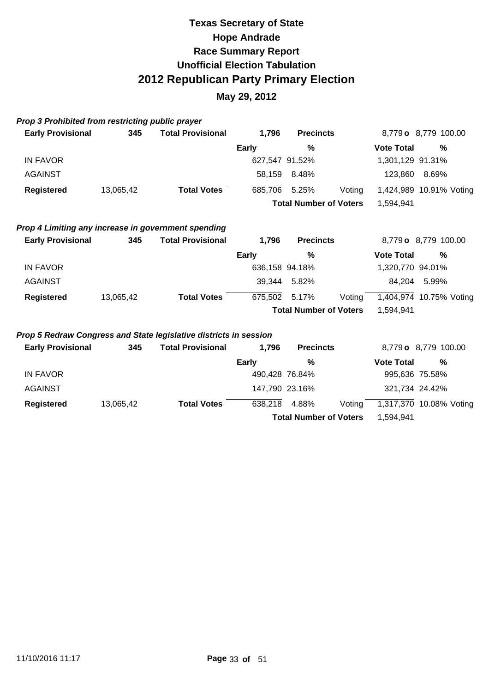### **May 29, 2012**

|  | <b>Prop 3 Prohibited from restricting public prayer</b> |  |  |
|--|---------------------------------------------------------|--|--|
|  |                                                         |  |  |

| <b>Early Provisional</b> | 345       | <b>Total Provisional</b> | 1.796 | <b>Precincts</b>              |        |                   | 8,779 o 8,779 100.00    |  |
|--------------------------|-----------|--------------------------|-------|-------------------------------|--------|-------------------|-------------------------|--|
|                          |           |                          | Early | %                             |        | <b>Vote Total</b> | %                       |  |
| IN FAVOR                 |           |                          |       | 627,547 91.52%                |        | 1,301,129 91.31%  |                         |  |
| <b>AGAINST</b>           |           |                          |       | 58,159 8.48%                  |        | 123.860           | 8.69%                   |  |
| Registered               | 13,065,42 | <b>Total Votes</b>       |       | 685.706 5.25%                 | Voting |                   | 1,424,989 10.91% Voting |  |
|                          |           |                          |       | <b>Total Number of Voters</b> |        | 1.594.941         |                         |  |
|                          |           |                          |       |                               |        |                   |                         |  |

### **Prop 4 Limiting any increase in government spending**

| <b>Early Provisional</b> | 345       | <b>Total Provisional</b> | 1.796         | <b>Precincts</b>              |        | 8,779 o 8,779 100.00    |       |  |
|--------------------------|-----------|--------------------------|---------------|-------------------------------|--------|-------------------------|-------|--|
|                          |           |                          | <b>Early</b>  | %                             |        | <b>Vote Total</b>       | %     |  |
| IN FAVOR                 |           |                          |               | 636,158 94.18%                |        | 1,320,770 94.01%        |       |  |
| <b>AGAINST</b>           |           |                          | 39.344        | 5.82%                         |        | 84.204                  | 5.99% |  |
| Registered               | 13,065,42 | <b>Total Votes</b>       | 675.502 5.17% |                               | Votina | 1,404,974 10.75% Voting |       |  |
|                          |           |                          |               | <b>Total Number of Voters</b> |        | 1.594.941               |       |  |

#### **Prop 5 Redraw Congress and State legislative districts in session**

| <b>Early Provisional</b> | 345       | <b>Total Provisional</b> | 1.796          | <b>Precincts</b>              |        |                   | 8,779 o 8,779 100.00    |
|--------------------------|-----------|--------------------------|----------------|-------------------------------|--------|-------------------|-------------------------|
|                          |           |                          | <b>Early</b>   | %                             |        | <b>Vote Total</b> | %                       |
| IN FAVOR                 |           |                          | 490,428 76.84% |                               |        | 995,636 75.58%    |                         |
| <b>AGAINST</b>           |           |                          |                | 147,790 23.16%                |        | 321,734 24.42%    |                         |
| <b>Registered</b>        | 13,065,42 | <b>Total Votes</b>       | 638,218        | 4.88%                         | Voting |                   | 1,317,370 10.08% Voting |
|                          |           |                          |                | <b>Total Number of Voters</b> |        | 1.594.941         |                         |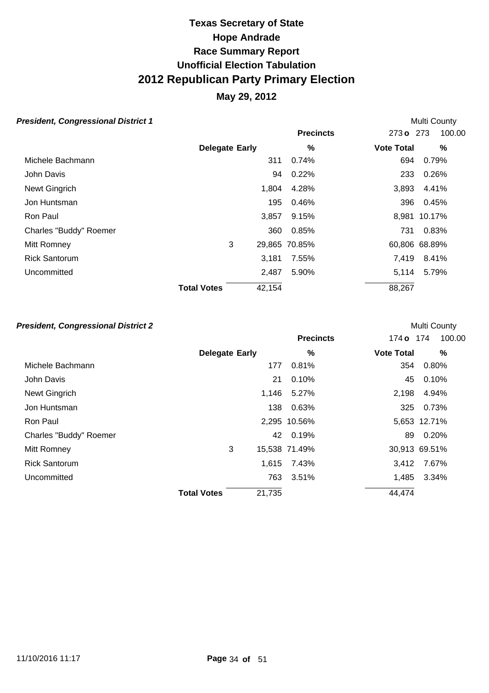### **May 29, 2012**

#### **President, Congressional District 1 President, Congressional District 1**

|                        |                              | <b>Precincts</b> | 273 o 273         | 100.00        |
|------------------------|------------------------------|------------------|-------------------|---------------|
|                        | <b>Delegate Early</b>        | %                | <b>Vote Total</b> | %             |
| Michele Bachmann       |                              | 0.74%<br>311     | 694               | 0.79%         |
| John Davis             |                              | 0.22%<br>94      | 233               | 0.26%         |
| Newt Gingrich          |                              | 1,804<br>4.28%   | 3,893             | 4.41%         |
| Jon Huntsman           |                              | 195<br>0.46%     | 396               | 0.45%         |
| Ron Paul               |                              | 3,857<br>9.15%   |                   | 8,981 10.17%  |
| Charles "Buddy" Roemer |                              | 360<br>0.85%     | 731               | 0.83%         |
| Mitt Romney            | 3                            | 29,865 70.85%    |                   | 60,806 68.89% |
| <b>Rick Santorum</b>   |                              | 3,181<br>7.55%   | 7,419             | 8.41%         |
| Uncommitted            |                              | 2,487<br>5.90%   | 5,114             | 5.79%         |
|                        | 42,154<br><b>Total Votes</b> |                  | 88,267            |               |

#### **President, Congressional District 2** and the state of the state of the Multi County of the Multi County

|                        |                       |        | <b>Precincts</b> | 174 o 174         | 100.00        |
|------------------------|-----------------------|--------|------------------|-------------------|---------------|
|                        | <b>Delegate Early</b> |        | %                | <b>Vote Total</b> | %             |
| Michele Bachmann       |                       | 177    | 0.81%            | 354               | 0.80%         |
| John Davis             |                       | 21     | 0.10%            | 45                | 0.10%         |
| Newt Gingrich          |                       | 1,146  | 5.27%            | 2,198             | 4.94%         |
| Jon Huntsman           |                       | 138    | 0.63%            | 325               | 0.73%         |
| Ron Paul               |                       |        | 2,295 10.56%     |                   | 5,653 12.71%  |
| Charles "Buddy" Roemer |                       | 42     | 0.19%            | 89                | 0.20%         |
| Mitt Romney            | 3                     |        | 15,538 71.49%    |                   | 30,913 69.51% |
| <b>Rick Santorum</b>   |                       | 1,615  | 7.43%            | 3,412             | 7.67%         |
| Uncommitted            |                       | 763    | $3.51\%$         | 1,485             | 3.34%         |
|                        | <b>Total Votes</b>    | 21,735 |                  | 44,474            |               |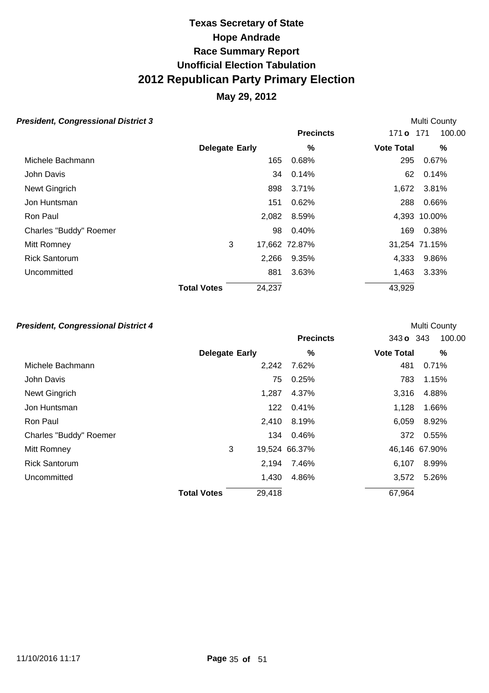### **May 29, 2012**

#### **President, Congressional District 3 President, Congressional District 3**

|                        |                       |        | <b>Precincts</b> | 171 <b>o</b> 171  | 100.00        |
|------------------------|-----------------------|--------|------------------|-------------------|---------------|
|                        | <b>Delegate Early</b> |        | %                | <b>Vote Total</b> | %             |
| Michele Bachmann       |                       | 165    | 0.68%            | 295               | 0.67%         |
| John Davis             |                       | 34     | 0.14%            | 62                | 0.14%         |
| Newt Gingrich          |                       | 898    | 3.71%            | 1,672             | 3.81%         |
| Jon Huntsman           |                       | 151    | 0.62%            | 288               | 0.66%         |
| Ron Paul               |                       | 2,082  | 8.59%            |                   | 4,393 10.00%  |
| Charles "Buddy" Roemer |                       | 98     | 0.40%            | 169               | 0.38%         |
| Mitt Romney            | 3                     |        | 17,662 72.87%    |                   | 31,254 71.15% |
| <b>Rick Santorum</b>   |                       | 2,266  | 9.35%            | 4,333             | 9.86%         |
| Uncommitted            |                       | 881    | 3.63%            | 1,463             | 3.33%         |
|                        | <b>Total Votes</b>    | 24,237 |                  | 43,929            |               |

#### **President, Congressional District 4 President, Congressional District 4 Multi County**

|                        |                       |        | <b>Precincts</b> | 343 o 343         | 100.00        |
|------------------------|-----------------------|--------|------------------|-------------------|---------------|
|                        | <b>Delegate Early</b> |        | %                | <b>Vote Total</b> | %             |
| Michele Bachmann       |                       | 2,242  | 7.62%            | 481               | 0.71%         |
| John Davis             |                       | 75     | 0.25%            | 783               | 1.15%         |
| Newt Gingrich          |                       | 1,287  | 4.37%            | 3,316             | 4.88%         |
| Jon Huntsman           |                       | 122    | 0.41%            | 1,128             | 1.66%         |
| Ron Paul               |                       | 2,410  | 8.19%            | 6,059             | 8.92%         |
| Charles "Buddy" Roemer |                       | 134    | 0.46%            |                   | 372 0.55%     |
| Mitt Romney            | 3                     |        | 19,524 66.37%    |                   | 46,146 67.90% |
| <b>Rick Santorum</b>   |                       | 2,194  | 7.46%            | 6,107             | 8.99%         |
| Uncommitted            |                       | 1,430  | 4.86%            | 3,572             | 5.26%         |
|                        | <b>Total Votes</b>    | 29,418 |                  | 67,964            |               |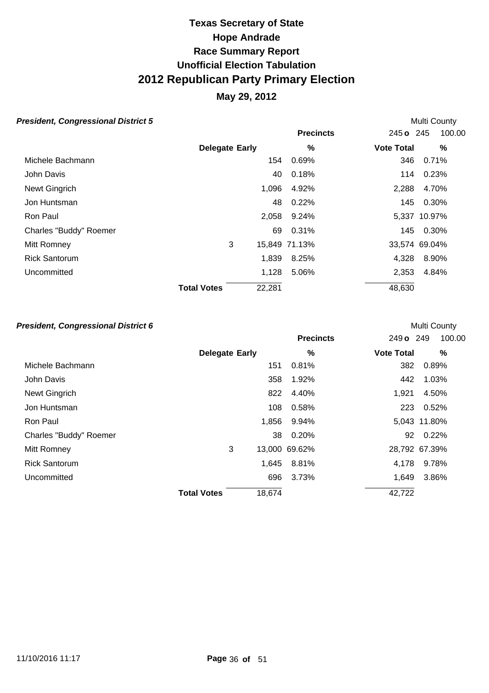### **May 29, 2012**

#### **President, Congressional District 5 President, Congressional District 5**

|                        |                       |        | <b>Precincts</b> | 245 o 245         | 100.00        |
|------------------------|-----------------------|--------|------------------|-------------------|---------------|
|                        | <b>Delegate Early</b> |        | %                | <b>Vote Total</b> | %             |
| Michele Bachmann       |                       | 154    | 0.69%            | 346               | 0.71%         |
| John Davis             |                       | 40     | 0.18%            | 114               | 0.23%         |
| Newt Gingrich          |                       | 1,096  | 4.92%            | 2,288             | 4.70%         |
| Jon Huntsman           |                       | 48     | 0.22%            |                   | 145 0.30%     |
| Ron Paul               |                       | 2,058  | 9.24%            |                   | 5,337 10.97%  |
| Charles "Buddy" Roemer |                       | 69     | 0.31%            | 145               | 0.30%         |
| Mitt Romney            | 3                     |        | 15,849 71.13%    |                   | 33,574 69.04% |
| <b>Rick Santorum</b>   |                       | 1,839  | 8.25%            | 4,328             | 8.90%         |
| Uncommitted            |                       | 1,128  | 5.06%            | 2,353             | 4.84%         |
|                        | <b>Total Votes</b>    | 22,281 |                  | 48,630            |               |

#### **President, Congressional District 6 President, Congressional District 6 Multi County**

|                        |                       |        | <b>Precincts</b> | 249 o 249         | 100.00        |
|------------------------|-----------------------|--------|------------------|-------------------|---------------|
|                        | <b>Delegate Early</b> |        | %                | <b>Vote Total</b> | %             |
| Michele Bachmann       |                       | 151    | 0.81%            | 382               | 0.89%         |
| John Davis             |                       | 358    | 1.92%            | 442               | 1.03%         |
| Newt Gingrich          |                       | 822    | 4.40%            | 1,921             | 4.50%         |
| Jon Huntsman           |                       | 108    | 0.58%            | 223               | 0.52%         |
| Ron Paul               |                       | 1,856  | 9.94%            |                   | 5,043 11.80%  |
| Charles "Buddy" Roemer |                       | 38     | 0.20%            |                   | 92 0.22%      |
| Mitt Romney            | 3                     |        | 13,000 69.62%    |                   | 28,792 67.39% |
| <b>Rick Santorum</b>   |                       | 1,645  | 8.81%            | 4,178             | 9.78%         |
| Uncommitted            |                       | 696    | 3.73%            | 1,649             | 3.86%         |
|                        | <b>Total Votes</b>    | 18,674 |                  | 42,722            |               |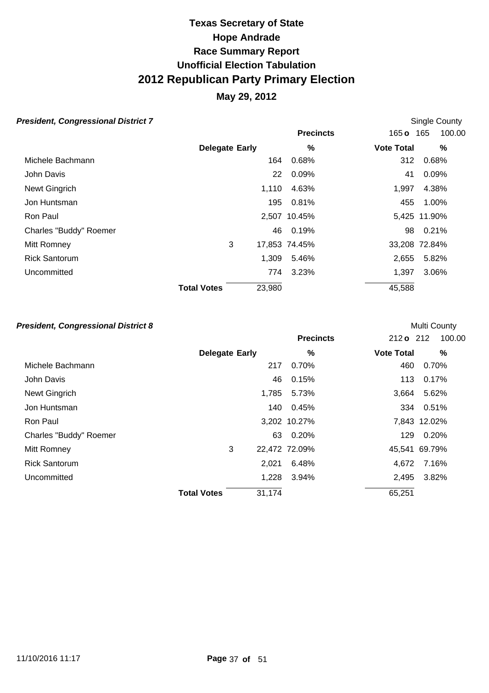### **May 29, 2012**

### **President, Congressional District 7 Conserversity Single County Single County**

|                        |                              | <b>Precincts</b> | 100.00<br>$165$ o<br>165 |
|------------------------|------------------------------|------------------|--------------------------|
|                        | <b>Delegate Early</b>        | %                | <b>Vote Total</b><br>%   |
| Michele Bachmann       | 164                          | 0.68%            | 0.68%<br>312             |
| John Davis             | 22                           | 0.09%            | 0.09%<br>41              |
| Newt Gingrich          | 1,110                        | 4.63%            | 1,997<br>4.38%           |
| Jon Huntsman           | 195                          | 0.81%            | 455<br>1.00%             |
| Ron Paul               |                              | 2,507 10.45%     | 5,425 11.90%             |
| Charles "Buddy" Roemer | 46                           | 0.19%            | 0.21%<br>98              |
| Mitt Romney            | 3                            | 17,853 74.45%    | 33,208 72.84%            |
| <b>Rick Santorum</b>   | 1,309                        | 5.46%            | 2,655<br>5.82%           |
| Uncommitted            | 774                          | 3.23%            | 1,397<br>3.06%           |
|                        | 23,980<br><b>Total Votes</b> |                  | 45,588                   |

#### **President, Congressional District 8 President, Congressional District 8**

|                        |                       |        | <b>Precincts</b> | $212o$ 212        | 100.00        |
|------------------------|-----------------------|--------|------------------|-------------------|---------------|
|                        | <b>Delegate Early</b> |        | %                | <b>Vote Total</b> | %             |
| Michele Bachmann       |                       | 217    | $0.70\%$         | 460               | 0.70%         |
| John Davis             |                       | 46     | 0.15%            | 113               | 0.17%         |
| Newt Gingrich          |                       | 1,785  | 5.73%            | 3,664             | 5.62%         |
| Jon Huntsman           |                       | 140    | 0.45%            |                   | 334 0.51%     |
| Ron Paul               |                       |        | 3,202 10.27%     |                   | 7,843 12.02%  |
| Charles "Buddy" Roemer |                       | 63     | 0.20%            | 129               | 0.20%         |
| Mitt Romney            | 3                     |        | 22,472 72.09%    |                   | 45,541 69.79% |
| <b>Rick Santorum</b>   |                       | 2,021  | 6.48%            | 4.672             | 7.16%         |
| Uncommitted            |                       | 1,228  | 3.94%            | 2,495             | 3.82%         |
|                        | <b>Total Votes</b>    | 31,174 |                  | 65,251            |               |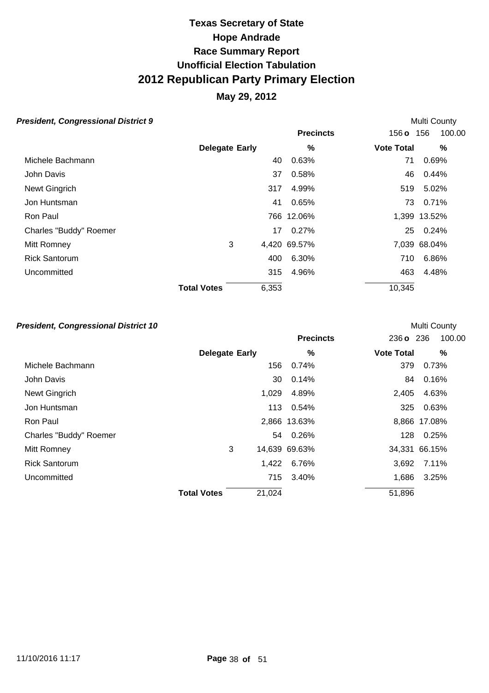### **May 29, 2012**

### **President, Congressional District 9 President, Congressional District 9**

|                        |                       |       | <b>Precincts</b> | 156 o 156         | 100.00       |
|------------------------|-----------------------|-------|------------------|-------------------|--------------|
|                        | <b>Delegate Early</b> |       | %                | <b>Vote Total</b> | %            |
| Michele Bachmann       |                       | 40    | 0.63%            | 71                | 0.69%        |
| John Davis             |                       | 37    | 0.58%            | 46                | 0.44%        |
| Newt Gingrich          |                       | 317   | 4.99%            | 519               | 5.02%        |
| Jon Huntsman           |                       | 41    | 0.65%            | 73.               | 0.71%        |
| Ron Paul               |                       |       | 766 12.06%       |                   | 1,399 13.52% |
| Charles "Buddy" Roemer |                       | 17    | 0.27%            | 25                | 0.24%        |
| Mitt Romney            | 3                     |       | 4,420 69.57%     |                   | 7,039 68.04% |
| <b>Rick Santorum</b>   |                       | 400   | 6.30%            | 710               | 6.86%        |
| Uncommitted            |                       | 315   | 4.96%            | 463               | 4.48%        |
|                        | <b>Total Votes</b>    | 6,353 |                  | 10,345            |              |

#### **President, Congressional District 10 County President, Congressional District 10**

|                        |                       |        | <b>Precincts</b> | 236 o 236         | 100.00        |
|------------------------|-----------------------|--------|------------------|-------------------|---------------|
|                        | <b>Delegate Early</b> |        | %                | <b>Vote Total</b> | %             |
| Michele Bachmann       |                       | 156    | 0.74%            | 379               | 0.73%         |
| John Davis             |                       | 30     | 0.14%            | 84                | 0.16%         |
| Newt Gingrich          |                       | 1,029  | 4.89%            | 2,405             | 4.63%         |
| Jon Huntsman           |                       | 113    | 0.54%            | 325               | 0.63%         |
| Ron Paul               |                       |        | 2,866 13.63%     |                   | 8,866 17.08%  |
| Charles "Buddy" Roemer |                       |        | 54 0.26%         | 128               | 0.25%         |
| Mitt Romney            | 3                     |        | 14,639 69.63%    |                   | 34,331 66.15% |
| <b>Rick Santorum</b>   |                       | 1,422  | 6.76%            | 3,692             | 7.11%         |
| Uncommitted            |                       | 715    | 3.40%            | 1,686             | 3.25%         |
|                        | <b>Total Votes</b>    | 21,024 |                  | 51,896            |               |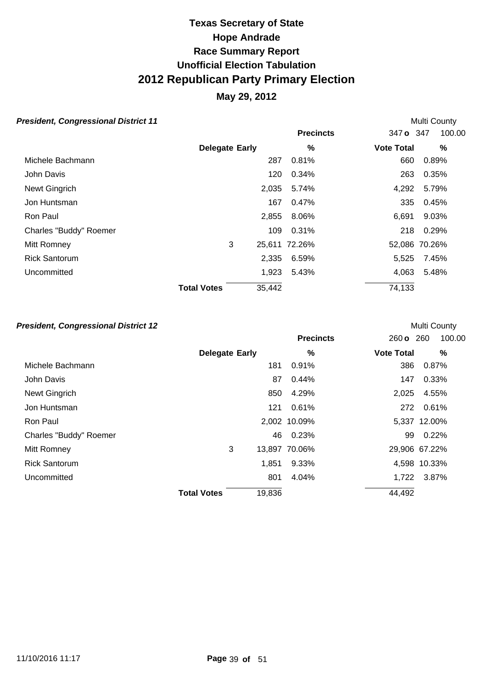### **May 29, 2012**

#### **President, Congressional District 11 County President, Congressional District 11**

|                        |                       |        | <b>Precincts</b> | 347 o 347         | 100.00        |
|------------------------|-----------------------|--------|------------------|-------------------|---------------|
|                        | <b>Delegate Early</b> |        | %                | <b>Vote Total</b> | %             |
| Michele Bachmann       |                       | 287    | 0.81%            | 660               | 0.89%         |
| John Davis             |                       | 120    | 0.34%            | 263               | 0.35%         |
| Newt Gingrich          |                       | 2,035  | 5.74%            | 4,292             | 5.79%         |
| Jon Huntsman           |                       | 167    | 0.47%            | 335               | 0.45%         |
| Ron Paul               |                       | 2,855  | 8.06%            | 6,691             | 9.03%         |
| Charles "Buddy" Roemer |                       | 109    | 0.31%            | 218               | 0.29%         |
| Mitt Romney            | 3                     |        | 25,611 72.26%    |                   | 52,086 70.26% |
| <b>Rick Santorum</b>   |                       | 2,335  | 6.59%            | 5,525             | 7.45%         |
| Uncommitted            |                       | 1,923  | 5.43%            | 4,063             | 5.48%         |
|                        | <b>Total Votes</b>    | 35,442 |                  | 74,133            |               |

#### **President, Congressional District 12 President, Congressional District 12**

|                        |                       |        | <b>Precincts</b> | 260 o 260         | 100.00        |
|------------------------|-----------------------|--------|------------------|-------------------|---------------|
|                        | <b>Delegate Early</b> |        | %                | <b>Vote Total</b> | %             |
| Michele Bachmann       |                       | 181    | 0.91%            | 386               | 0.87%         |
| John Davis             |                       | 87     | 0.44%            | 147               | 0.33%         |
| Newt Gingrich          |                       | 850    | 4.29%            | 2,025             | 4.55%         |
| Jon Huntsman           |                       | 121    | 0.61%            |                   | 272 0.61%     |
| Ron Paul               |                       |        | 2,002 10.09%     |                   | 5,337 12.00%  |
| Charles "Buddy" Roemer |                       | 46     | 0.23%            | 99                | 0.22%         |
| Mitt Romney            | 3                     |        | 13,897 70.06%    |                   | 29,906 67.22% |
| <b>Rick Santorum</b>   |                       | 1,851  | 9.33%            |                   | 4,598 10.33%  |
| Uncommitted            |                       | 801    | 4.04%            | 1,722             | 3.87%         |
|                        | <b>Total Votes</b>    | 19,836 |                  | 44,492            |               |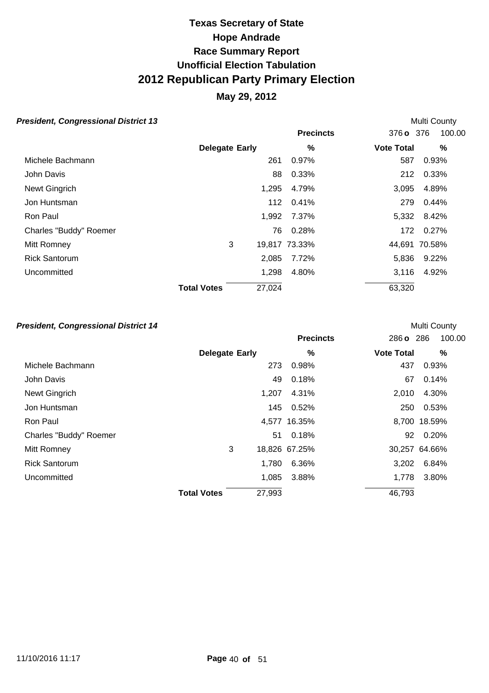### **May 29, 2012**

#### **President, Congressional District 13 President, Congressional District 13**

|                        |                       |        | <b>Precincts</b> | 376 o 376         | 100.00        |
|------------------------|-----------------------|--------|------------------|-------------------|---------------|
|                        | <b>Delegate Early</b> |        | %                | <b>Vote Total</b> | %             |
| Michele Bachmann       |                       | 261    | 0.97%            | 587               | 0.93%         |
| John Davis             |                       | 88     | 0.33%            | 212               | 0.33%         |
| Newt Gingrich          |                       | 1,295  | 4.79%            | 3,095             | 4.89%         |
| Jon Huntsman           |                       | 112    | 0.41%            | 279               | 0.44%         |
| Ron Paul               |                       | 1,992  | 7.37%            | 5,332             | 8.42%         |
| Charles "Buddy" Roemer |                       | 76     | 0.28%            | 172               | 0.27%         |
| Mitt Romney            | 3                     |        | 19,817 73.33%    |                   | 44,691 70.58% |
| <b>Rick Santorum</b>   |                       | 2,085  | 7.72%            | 5,836             | 9.22%         |
| Uncommitted            |                       | 1,298  | 4.80%            | 3,116             | 4.92%         |
|                        | <b>Total Votes</b>    | 27,024 |                  | 63,320            |               |

#### **President, Congressional District 14 President, Congressional District 14**

|                        |                       |        | <b>Precincts</b> | 286 o 286         | 100.00        |
|------------------------|-----------------------|--------|------------------|-------------------|---------------|
|                        | <b>Delegate Early</b> |        | %                | <b>Vote Total</b> | %             |
| Michele Bachmann       |                       | 273    | 0.98%            | 437               | 0.93%         |
| John Davis             |                       | 49     | 0.18%            | 67                | 0.14%         |
| Newt Gingrich          |                       | 1,207  | 4.31%            | 2,010             | 4.30%         |
| Jon Huntsman           |                       | 145    | 0.52%            | 250               | 0.53%         |
| Ron Paul               |                       |        | 4,577 16.35%     |                   | 8,700 18.59%  |
| Charles "Buddy" Roemer |                       | 51     | 0.18%            | 92                | 0.20%         |
| Mitt Romney            | 3                     |        | 18,826 67.25%    |                   | 30,257 64.66% |
| <b>Rick Santorum</b>   |                       | 1,780  | 6.36%            | 3,202             | 6.84%         |
| Uncommitted            |                       | 1,085  | 3.88%            | 1.778             | 3.80%         |
|                        | <b>Total Votes</b>    | 27,993 |                  | 46,793            |               |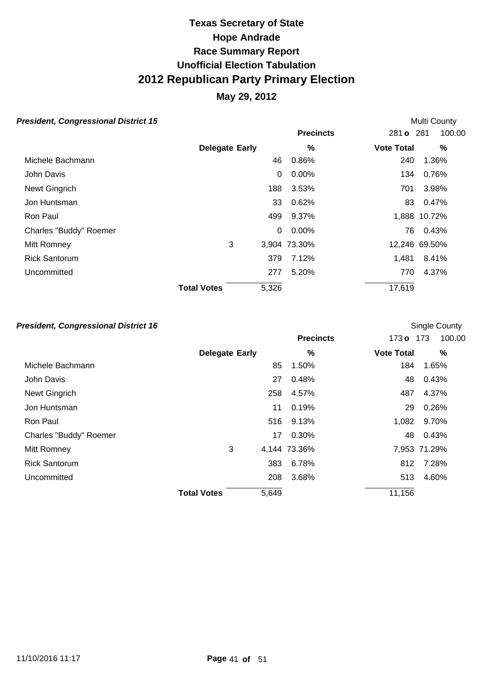### **May 29, 2012**

#### **President, Congressional District 15 President, Congressional District 15**

|                        |                       |          | <b>Precincts</b> | 281 <b>o</b> 281  | 100.00        |
|------------------------|-----------------------|----------|------------------|-------------------|---------------|
|                        | <b>Delegate Early</b> |          | %                | <b>Vote Total</b> | %             |
| Michele Bachmann       |                       | 46       | 0.86%            | 240               | 1.36%         |
| John Davis             |                       | 0        | $0.00\%$         | 134               | 0.76%         |
| Newt Gingrich          |                       | 188      | 3.53%            | 701               | 3.98%         |
| Jon Huntsman           |                       | 33       | 0.62%            | 83                | 0.47%         |
| Ron Paul               |                       | 499      | 9.37%            |                   | 1,888 10.72%  |
| Charles "Buddy" Roemer |                       | $\Omega$ | $0.00\%$         | 76.               | 0.43%         |
| Mitt Romney            | 3                     |          | 3,904 73.30%     |                   | 12,246 69.50% |
| <b>Rick Santorum</b>   |                       | 379      | 7.12%            | 1,481             | 8.41%         |
| Uncommitted            |                       | 277      | 5.20%            | 770               | 4.37%         |
|                        | <b>Total Votes</b>    | 5,326    |                  | 17,619            |               |

#### **President, Congressional District 16 Constant Constant Constant County Single County**

|                        |                       |       | <b>Precincts</b> | 173 <sub>o</sub>  | 100.00<br>173 |
|------------------------|-----------------------|-------|------------------|-------------------|---------------|
|                        | <b>Delegate Early</b> |       | %                | <b>Vote Total</b> | %             |
| Michele Bachmann       |                       | 85    | 1.50%            | 184               | 1.65%         |
| John Davis             |                       | 27    | 0.48%            | 48                | 0.43%         |
| Newt Gingrich          |                       | 258   | 4.57%            | 487               | 4.37%         |
| Jon Huntsman           |                       | 11    | 0.19%            | 29                | 0.26%         |
| Ron Paul               |                       | 516   | 9.13%            | 1,082             | 9.70%         |
| Charles "Buddy" Roemer |                       | 17    | 0.30%            | 48                | 0.43%         |
| Mitt Romney            | 3                     |       | 4,144 73.36%     |                   | 7,953 71.29%  |
| <b>Rick Santorum</b>   |                       | 383   | 6.78%            | 812               | 7.28%         |
| Uncommitted            |                       | 208   | 3.68%            | 513               | 4.60%         |
|                        | <b>Total Votes</b>    | 5,649 |                  | 11,156            |               |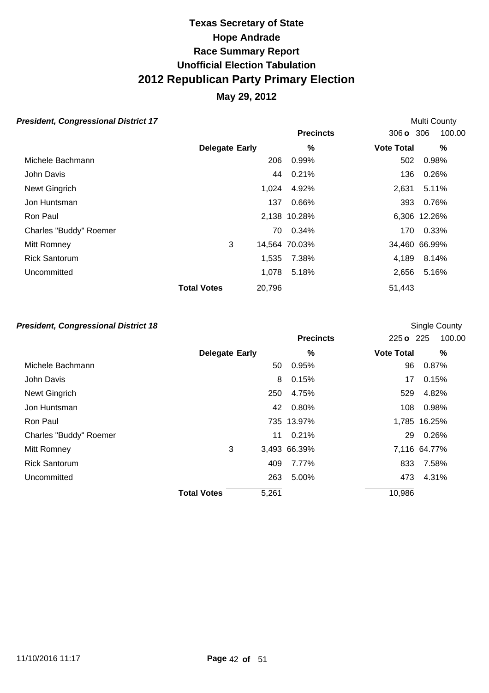### **May 29, 2012**

#### **President, Congressional District 17 Constant County County Multi County**

|                        |                              | <b>Precincts</b> | 306 <b>o</b> 306  | 100.00        |
|------------------------|------------------------------|------------------|-------------------|---------------|
|                        | <b>Delegate Early</b>        | %                | <b>Vote Total</b> | %             |
| Michele Bachmann       | 206                          | 0.99%            | 502               | 0.98%         |
| John Davis             | 44                           | 0.21%            | 136               | 0.26%         |
| Newt Gingrich          | 1,024                        | 4.92%            | 2,631             | 5.11%         |
| Jon Huntsman           | 137                          | 0.66%            | 393               | 0.76%         |
| Ron Paul               |                              | 2,138 10.28%     |                   | 6,306 12.26%  |
| Charles "Buddy" Roemer | 70                           | 0.34%            | 170               | 0.33%         |
| Mitt Romney            | 3                            | 14,564 70.03%    |                   | 34,460 66.99% |
| <b>Rick Santorum</b>   | 1,535                        | 7.38%            | 4,189             | 8.14%         |
| Uncommitted            | 1,078                        | 5.18%            | 2,656             | 5.16%         |
|                        | 20,796<br><b>Total Votes</b> |                  | 51,443            |               |

#### **President, Congressional District 18 Constant Constant Constant County Single County**

|                        |                       |       | <b>Precincts</b> | 225 o 225         | 100.00       |
|------------------------|-----------------------|-------|------------------|-------------------|--------------|
|                        | <b>Delegate Early</b> |       | $\frac{9}{6}$    | <b>Vote Total</b> | %            |
| Michele Bachmann       |                       | 50    | 0.95%            | 96                | 0.87%        |
| John Davis             |                       | 8     | 0.15%            | 17                | 0.15%        |
| Newt Gingrich          |                       | 250   | 4.75%            | 529               | 4.82%        |
| Jon Huntsman           |                       | 42    | 0.80%            | 108               | 0.98%        |
| Ron Paul               |                       |       | 735 13.97%       |                   | 1,785 16.25% |
| Charles "Buddy" Roemer |                       | 11    | 0.21%            | 29                | 0.26%        |
| Mitt Romney            | 3                     |       | 3,493 66.39%     |                   | 7,116 64.77% |
| <b>Rick Santorum</b>   |                       | 409   | 7.77%            | 833               | 7.58%        |
| Uncommitted            |                       | 263   | 5.00%            | 473               | 4.31%        |
|                        | <b>Total Votes</b>    | 5,261 |                  | 10,986            |              |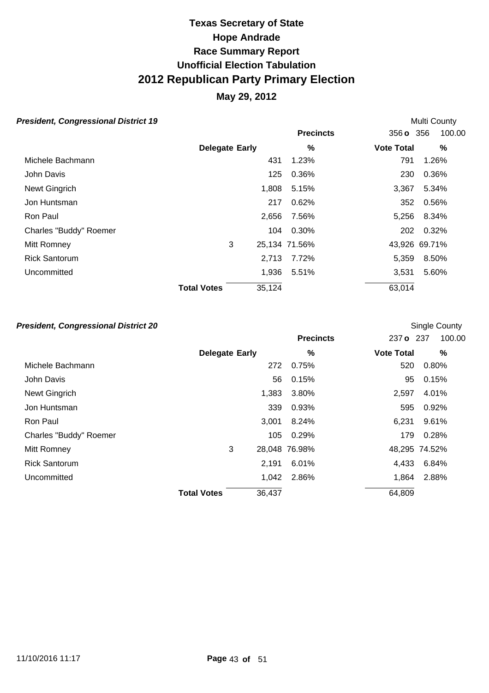### **May 29, 2012**

#### **President, Congressional District 19 Multi County Multi County Multi County**

|                        |                              | <b>Precincts</b> | 356 o 356         | 100.00        |
|------------------------|------------------------------|------------------|-------------------|---------------|
|                        | <b>Delegate Early</b>        | %                | <b>Vote Total</b> | %             |
| Michele Bachmann       | 431                          | 1.23%            | 791               | 1.26%         |
| John Davis             | 125                          | 0.36%            | 230               | 0.36%         |
| Newt Gingrich          | 1,808                        | 5.15%            | 3,367             | 5.34%         |
| Jon Huntsman           | 217                          | 0.62%            | 352               | 0.56%         |
| Ron Paul               | 2,656                        | 7.56%            | 5,256             | 8.34%         |
| Charles "Buddy" Roemer | 104                          | 0.30%            | 202               | 0.32%         |
| Mitt Romney            | 3                            | 25,134 71.56%    |                   | 43,926 69.71% |
| <b>Rick Santorum</b>   | 2,713                        | 7.72%            | 5,359             | 8.50%         |
| Uncommitted            | 1,936                        | 5.51%            | 3,531             | 5.60%         |
|                        | <b>Total Votes</b><br>35,124 |                  | 63,014            |               |

#### **President, Congressional District 20 Single County President, Congressional District 20**

|                        |                       |        | <b>Precincts</b> | 237 o 237         | 100.00        |
|------------------------|-----------------------|--------|------------------|-------------------|---------------|
|                        | <b>Delegate Early</b> |        | %                | <b>Vote Total</b> | %             |
| Michele Bachmann       |                       | 272    | 0.75%            | 520               | 0.80%         |
| John Davis             |                       | 56     | 0.15%            | 95                | 0.15%         |
| Newt Gingrich          |                       | 1,383  | 3.80%            | 2,597             | 4.01%         |
| Jon Huntsman           |                       | 339    | 0.93%            | 595               | 0.92%         |
| Ron Paul               |                       | 3,001  | 8.24%            | 6,231             | 9.61%         |
| Charles "Buddy" Roemer |                       | 105    | 0.29%            | 179               | 0.28%         |
| Mitt Romney            | 3                     |        | 28,048 76.98%    |                   | 48,295 74.52% |
| <b>Rick Santorum</b>   |                       | 2,191  | 6.01%            | 4,433             | 6.84%         |
| Uncommitted            |                       | 1,042  | 2.86%            | 1,864             | 2.88%         |
|                        | <b>Total Votes</b>    | 36,437 |                  | 64,809            |               |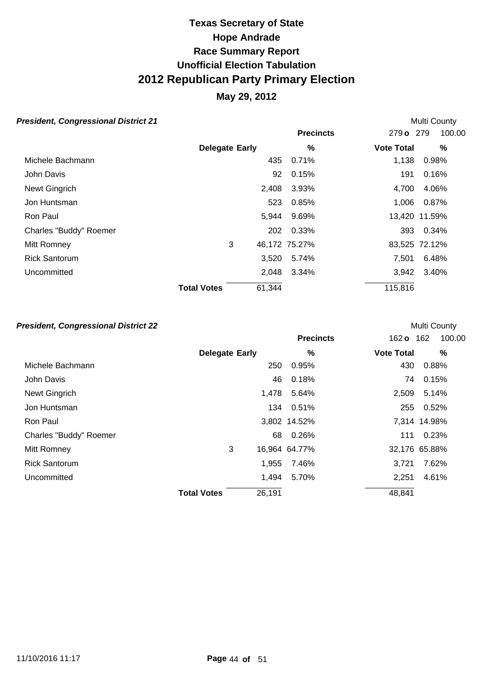### **May 29, 2012**

#### **President, Congressional District 21 Multi County Multi County**

|                        |                              | <b>Precincts</b> | 100.00<br>279 o 279    |
|------------------------|------------------------------|------------------|------------------------|
|                        | <b>Delegate Early</b>        | %                | <b>Vote Total</b><br>% |
| Michele Bachmann       | 435                          | 0.71%            | 1,138<br>0.98%         |
| John Davis             | 92                           | 0.15%            | 0.16%<br>191           |
| Newt Gingrich          | 2,408                        | 3.93%            | 4,700<br>4.06%         |
| Jon Huntsman           | 523                          | 0.85%            | 1,006<br>0.87%         |
| Ron Paul               | 5,944                        | 9.69%            | 13,420 11.59%          |
| Charles "Buddy" Roemer | 202                          | 0.33%            | 0.34%<br>393           |
| Mitt Romney            | 3                            | 46,172 75.27%    | 83,525 72.12%          |
| <b>Rick Santorum</b>   | 3,520                        | 5.74%            | 7.501<br>6.48%         |
| Uncommitted            | 2,048                        | 3.34%            | 3.40%<br>3,942         |
|                        | <b>Total Votes</b><br>61,344 |                  | 115,816                |

#### **President, Congressional District 22 Multi County Multi County**

|                        |                       |        | <b>Precincts</b> | 162 <b>o</b>      | 100.00<br>162 |
|------------------------|-----------------------|--------|------------------|-------------------|---------------|
|                        | <b>Delegate Early</b> |        | %                | <b>Vote Total</b> | %             |
| Michele Bachmann       |                       | 250    | 0.95%            | 430               | 0.88%         |
| John Davis             |                       | 46     | 0.18%            | 74                | 0.15%         |
| Newt Gingrich          |                       | 1,478  | 5.64%            | 2,509             | 5.14%         |
| Jon Huntsman           |                       | 134    | 0.51%            | 255               | 0.52%         |
| Ron Paul               |                       |        | 3,802 14.52%     |                   | 7,314 14.98%  |
| Charles "Buddy" Roemer |                       | 68     | 0.26%            | 111               | 0.23%         |
| Mitt Romney            | 3                     |        | 16,964 64.77%    |                   | 32,176 65.88% |
| <b>Rick Santorum</b>   |                       | 1,955  | 7.46%            | 3.721             | 7.62%         |
| Uncommitted            |                       | 1,494  | 5.70%            | 2,251             | 4.61%         |
|                        | <b>Total Votes</b>    | 26,191 |                  | 48,841            |               |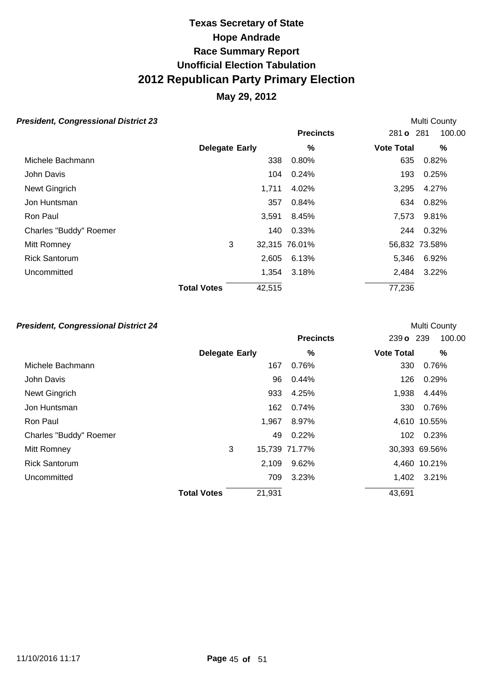### **May 29, 2012**

#### **President, Congressional District 23 Multi County Multi County Multi County**

|                        |                       |        | <b>Precincts</b> | 281 <b>o</b> 281  | 100.00        |
|------------------------|-----------------------|--------|------------------|-------------------|---------------|
|                        | <b>Delegate Early</b> |        | %                | <b>Vote Total</b> | %             |
| Michele Bachmann       |                       | 338    | 0.80%            | 635               | 0.82%         |
| John Davis             |                       | 104    | 0.24%            | 193               | 0.25%         |
| Newt Gingrich          |                       | 1,711  | 4.02%            | 3,295             | 4.27%         |
| Jon Huntsman           |                       | 357    | 0.84%            | 634               | 0.82%         |
| Ron Paul               |                       | 3,591  | 8.45%            | 7,573             | 9.81%         |
| Charles "Buddy" Roemer |                       | 140    | 0.33%            | 244               | 0.32%         |
| Mitt Romney            | 3                     |        | 32,315 76.01%    |                   | 56,832 73.58% |
| <b>Rick Santorum</b>   |                       | 2,605  | 6.13%            | 5.346             | 6.92%         |
| Uncommitted            |                       | 1,354  | 3.18%            | 2,484             | 3.22%         |
|                        | <b>Total Votes</b>    | 42,515 |                  | 77,236            |               |

#### **President, Congressional District 24**  Multi County

|                        |                       |        | <b>Precincts</b> | 239 o 239         | 100.00        |
|------------------------|-----------------------|--------|------------------|-------------------|---------------|
|                        | <b>Delegate Early</b> |        | %                | <b>Vote Total</b> | %             |
| Michele Bachmann       |                       | 167    | 0.76%            | 330               | 0.76%         |
| John Davis             |                       | 96     | 0.44%            | 126               | 0.29%         |
| Newt Gingrich          |                       | 933    | 4.25%            | 1,938             | 4.44%         |
| Jon Huntsman           |                       | 162    | 0.74%            | 330               | 0.76%         |
| Ron Paul               |                       | 1,967  | 8.97%            |                   | 4,610 10.55%  |
| Charles "Buddy" Roemer |                       | 49     | 0.22%            |                   | 102 0.23%     |
| Mitt Romney            | 3                     |        | 15,739 71.77%    |                   | 30,393 69.56% |
| <b>Rick Santorum</b>   |                       | 2,109  | 9.62%            |                   | 4,460 10.21%  |
| Uncommitted            |                       | 709    | 3.23%            | 1,402             | 3.21%         |
|                        | <b>Total Votes</b>    | 21,931 |                  | 43,691            |               |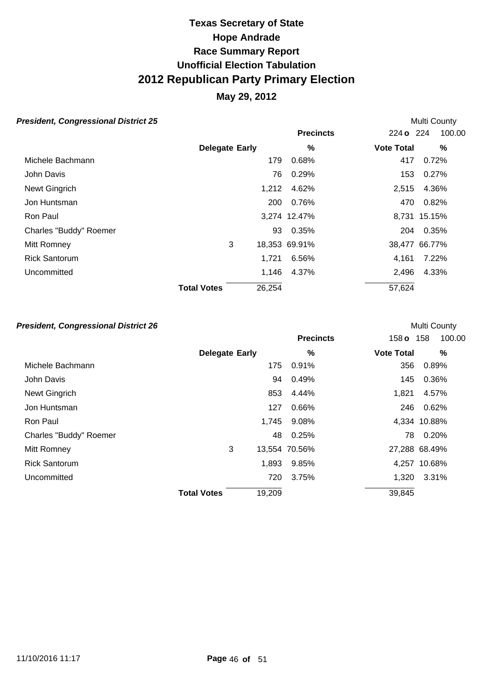### **May 29, 2012**

#### **President, Congressional District 25 Multi County Multi County Multi County**

|                        |                              | <b>Precincts</b> | 224 o 224         | 100.00 |
|------------------------|------------------------------|------------------|-------------------|--------|
|                        | <b>Delegate Early</b>        | %                | <b>Vote Total</b> | %      |
| Michele Bachmann       | 179                          | 0.68%            | 417               | 0.72%  |
| John Davis             | 76                           | 0.29%            | 153               | 0.27%  |
| Newt Gingrich          | 1,212                        | 4.62%            | 2,515             | 4.36%  |
| Jon Huntsman           | 200                          | 0.76%            | 470               | 0.82%  |
| Ron Paul               |                              | 3,274 12.47%     | 8,731 15.15%      |        |
| Charles "Buddy" Roemer | 93                           | 0.35%            | 204               | 0.35%  |
| Mitt Romney            | 3                            | 18,353 69.91%    | 38,477 66.77%     |        |
| <b>Rick Santorum</b>   | 1,721                        | 6.56%            | 4,161             | 7.22%  |
| Uncommitted            | 1,146                        | 4.37%            | 2,496             | 4.33%  |
|                        | <b>Total Votes</b><br>26,254 |                  | 57,624            |        |

#### **President, Congressional District 26 Multi County Multi County Multi County**

|                        |                       |        | <b>Precincts</b> | 158 <sub>o</sub>  | 100.00<br>158 |
|------------------------|-----------------------|--------|------------------|-------------------|---------------|
|                        | <b>Delegate Early</b> |        | $\%$             | <b>Vote Total</b> | %             |
| Michele Bachmann       |                       | 175    | 0.91%            | 356               | 0.89%         |
| John Davis             |                       | 94     | 0.49%            | 145               | 0.36%         |
| Newt Gingrich          |                       | 853    | 4.44%            | 1,821             | 4.57%         |
| Jon Huntsman           |                       | 127    | 0.66%            | 246               | 0.62%         |
| Ron Paul               |                       | 1,745  | 9.08%            |                   | 4,334 10.88%  |
| Charles "Buddy" Roemer |                       | 48     | 0.25%            | 78.               | 0.20%         |
| Mitt Romney            | 3                     |        | 13,554 70.56%    |                   | 27,288 68.49% |
| <b>Rick Santorum</b>   |                       | 1,893  | 9.85%            |                   | 4,257 10.68%  |
| Uncommitted            |                       | 720    | 3.75%            | 1,320             | 3.31%         |
|                        | <b>Total Votes</b>    | 19,209 |                  | 39,845            |               |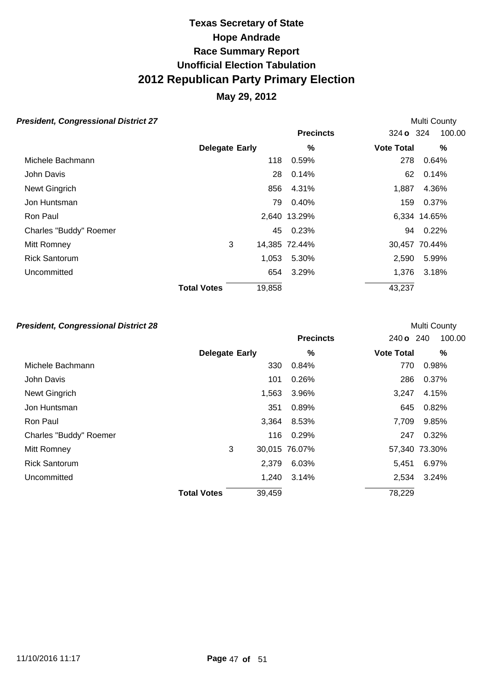### **May 29, 2012**

#### **President, Congressional District 27** Multi County

|                       |     | <b>Precincts</b> |                                        | 100.00                                                                                               |
|-----------------------|-----|------------------|----------------------------------------|------------------------------------------------------------------------------------------------------|
| <b>Delegate Early</b> |     | %                |                                        | %                                                                                                    |
|                       | 118 | 0.59%            |                                        | 0.64%                                                                                                |
|                       | 28  | 0.14%            |                                        | 0.14%                                                                                                |
|                       | 856 | 4.31%            |                                        | 4.36%                                                                                                |
|                       | 79  | 0.40%            |                                        | 0.37%                                                                                                |
|                       |     |                  |                                        | 6,334 14.65%                                                                                         |
|                       | 45  |                  |                                        | $0.22\%$                                                                                             |
| 3                     |     |                  |                                        | 30,457 70.44%                                                                                        |
|                       |     | 5.30%            |                                        | 5.99%                                                                                                |
|                       | 654 | 3.29%            |                                        | 3.18%                                                                                                |
| <b>Total Votes</b>    |     |                  |                                        |                                                                                                      |
|                       |     | 1,053<br>19,858  | 2,640 13.29%<br>0.23%<br>14,385 72.44% | 324 <b>o</b> 324<br><b>Vote Total</b><br>278<br>62<br>1,887<br>159<br>94<br>2,590<br>1,376<br>43,237 |

#### **President, Congressional District 28 Multi County Multi County Multi County**

|                        |                       |        | <b>Precincts</b> | 240 o 240         | 100.00        |
|------------------------|-----------------------|--------|------------------|-------------------|---------------|
|                        | <b>Delegate Early</b> |        | %                | <b>Vote Total</b> | %             |
| Michele Bachmann       |                       | 330    | 0.84%            | 770               | 0.98%         |
| John Davis             |                       | 101    | 0.26%            | 286               | 0.37%         |
| Newt Gingrich          |                       | 1,563  | 3.96%            | 3,247             | 4.15%         |
| Jon Huntsman           |                       | 351    | 0.89%            | 645               | 0.82%         |
| Ron Paul               |                       | 3,364  | 8.53%            | 7,709             | 9.85%         |
| Charles "Buddy" Roemer |                       | 116    | 0.29%            | 247               | 0.32%         |
| Mitt Romney            | 3                     |        | 30,015 76.07%    |                   | 57,340 73.30% |
| <b>Rick Santorum</b>   |                       | 2,379  | 6.03%            | 5.451             | 6.97%         |
| Uncommitted            |                       | 1,240  | 3.14%            | 2,534             | 3.24%         |
|                        | <b>Total Votes</b>    | 39,459 |                  | 78,229            |               |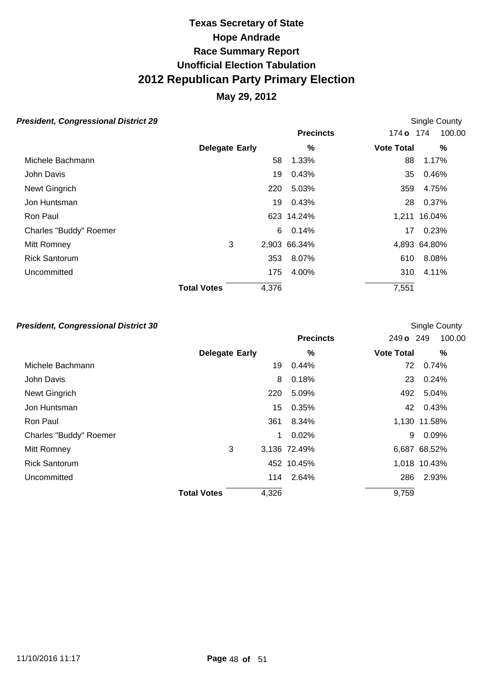### **May 29, 2012**

#### **President, Congressional District 29 Single County President, Congressional District 29**

|                        |                       |       | <b>Precincts</b> | 174 o 174         | 100.00       |
|------------------------|-----------------------|-------|------------------|-------------------|--------------|
|                        | <b>Delegate Early</b> |       | %                | <b>Vote Total</b> | %            |
| Michele Bachmann       |                       | 58    | 1.33%            | 88                | 1.17%        |
| John Davis             |                       | 19    | 0.43%            | 35                | 0.46%        |
| Newt Gingrich          |                       | 220   | 5.03%            | 359               | 4.75%        |
| Jon Huntsman           |                       | 19    | 0.43%            | 28.               | 0.37%        |
| Ron Paul               |                       |       | 623 14.24%       |                   | 1,211 16.04% |
| Charles "Buddy" Roemer |                       | 6     | 0.14%            | 17                | 0.23%        |
| Mitt Romney            | 3                     |       | 2,903 66.34%     |                   | 4,893 64.80% |
| <b>Rick Santorum</b>   |                       | 353   | 8.07%            | 610               | 8.08%        |
| Uncommitted            |                       | 175   | 4.00%            | 310               | 4.11%        |
|                        | <b>Total Votes</b>    | 4,376 |                  | 7,551             |              |

#### **President, Congressional District 30 Constant Constant Constant County** Single County

|                        |                       |       | <b>Precincts</b> | 249 o 249         | 100.00       |
|------------------------|-----------------------|-------|------------------|-------------------|--------------|
|                        | <b>Delegate Early</b> |       | %                | <b>Vote Total</b> | $\%$         |
| Michele Bachmann       |                       | 19    | 0.44%            | 72                | 0.74%        |
| John Davis             |                       | 8     | 0.18%            | 23                | 0.24%        |
| Newt Gingrich          |                       | 220   | 5.09%            | 492               | 5.04%        |
| Jon Huntsman           |                       | 15    | 0.35%            |                   | 42 0.43%     |
| Ron Paul               |                       | 361   | 8.34%            |                   | 1,130 11.58% |
| Charles "Buddy" Roemer |                       | 1     | 0.02%            | 9                 | 0.09%        |
| Mitt Romney            | 3                     |       | 3,136 72.49%     |                   | 6,687 68.52% |
| <b>Rick Santorum</b>   |                       |       | 452 10.45%       |                   | 1,018 10.43% |
| Uncommitted            |                       |       | 114 2.64%        | 286               | 2.93%        |
|                        | <b>Total Votes</b>    | 4,326 |                  | 9,759             |              |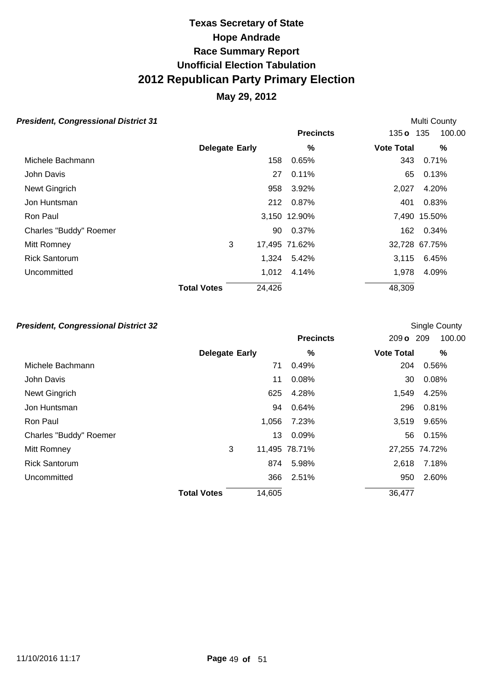### **May 29, 2012**

#### **President, Congressional District 31** Multi County

|                        |                       |        | <b>Precincts</b> | 135 <b>o</b> 135  | 100.00        |
|------------------------|-----------------------|--------|------------------|-------------------|---------------|
|                        | <b>Delegate Early</b> |        | %                | <b>Vote Total</b> | %             |
| Michele Bachmann       |                       | 158    | 0.65%            | 343               | 0.71%         |
| John Davis             |                       | 27     | 0.11%            | 65                | 0.13%         |
| Newt Gingrich          |                       | 958    | 3.92%            | 2,027             | 4.20%         |
| Jon Huntsman           |                       | 212    | 0.87%            | 401               | 0.83%         |
| Ron Paul               |                       |        | 3,150 12.90%     |                   | 7,490 15.50%  |
| Charles "Buddy" Roemer |                       | 90     | 0.37%            | 162               | 0.34%         |
| Mitt Romney            | 3                     |        | 17,495 71.62%    |                   | 32,728 67.75% |
| <b>Rick Santorum</b>   |                       | 1,324  | 5.42%            | 3,115             | 6.45%         |
| Uncommitted            |                       | 1,012  | 4.14%            | 1,978             | 4.09%         |
|                        | <b>Total Votes</b>    | 24,426 |                  | 48,309            |               |

#### **President, Congressional District 32 Constant Constant Constant County County County Single County**

|                        |                       |        | <b>Precincts</b> | 209 o 209         | 100.00        |
|------------------------|-----------------------|--------|------------------|-------------------|---------------|
|                        | <b>Delegate Early</b> |        | %                | <b>Vote Total</b> | %             |
| Michele Bachmann       |                       | 71     | 0.49%            | 204               | 0.56%         |
| John Davis             |                       | 11     | 0.08%            | 30                | 0.08%         |
| Newt Gingrich          |                       | 625    | 4.28%            | 1,549             | 4.25%         |
| Jon Huntsman           |                       | 94     | 0.64%            | 296               | 0.81%         |
| Ron Paul               |                       | 1,056  | 7.23%            | 3,519             | 9.65%         |
| Charles "Buddy" Roemer |                       | 13     | 0.09%            | 56                | 0.15%         |
| Mitt Romney            | 3                     |        | 11,495 78.71%    |                   | 27,255 74.72% |
| <b>Rick Santorum</b>   |                       | 874    | 5.98%            | 2,618             | 7.18%         |
| Uncommitted            |                       | 366    | 2.51%            | 950               | 2.60%         |
|                        | <b>Total Votes</b>    | 14,605 |                  | 36,477            |               |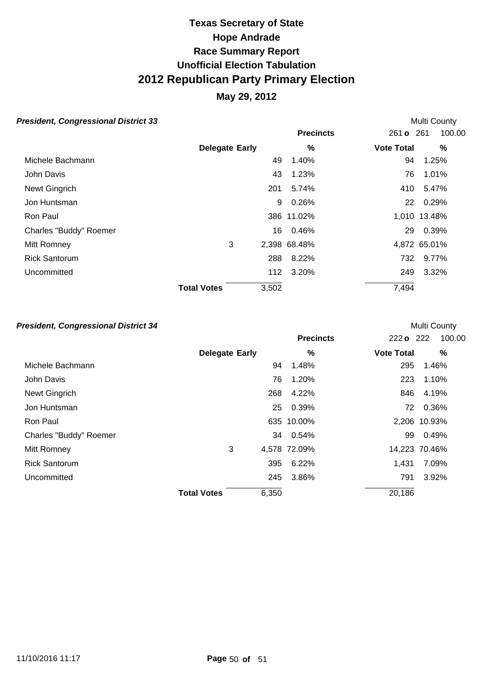### **May 29, 2012**

#### **President, Congressional District 33 Multi County Multi County Multi County**

|                        |                       |       | <b>Precincts</b> | 261 <b>o</b> 261  | 100.00       |
|------------------------|-----------------------|-------|------------------|-------------------|--------------|
|                        | <b>Delegate Early</b> |       | %                | <b>Vote Total</b> | %            |
| Michele Bachmann       |                       | 49    | 1.40%            | 94                | 1.25%        |
| John Davis             |                       | 43    | 1.23%            | 76                | 1.01%        |
| Newt Gingrich          |                       | 201   | 5.74%            | 410               | 5.47%        |
| Jon Huntsman           |                       | 9     | 0.26%            |                   | 22 0.29%     |
| Ron Paul               |                       |       | 386 11.02%       |                   | 1,010 13.48% |
| Charles "Buddy" Roemer |                       | 16    | 0.46%            | 29                | 0.39%        |
| Mitt Romney            | 3                     |       | 2,398 68.48%     |                   | 4,872 65.01% |
| <b>Rick Santorum</b>   |                       | 288   | 8.22%            | 732               | 9.77%        |
| Uncommitted            |                       | 112   | 3.20%            | 249               | 3.32%        |
|                        | <b>Total Votes</b>    | 3,502 |                  | 7,494             |              |

#### **President, Congressional District 34 President, Congressional District 34**

|                        |                       |       | <b>Precincts</b> | 222 o 222         | 100.00        |
|------------------------|-----------------------|-------|------------------|-------------------|---------------|
|                        | <b>Delegate Early</b> |       | %                | <b>Vote Total</b> | %             |
| Michele Bachmann       |                       | 94    | 1.48%            | 295               | 1.46%         |
| John Davis             |                       | 76    | 1.20%            | 223               | 1.10%         |
| Newt Gingrich          |                       | 268   | 4.22%            | 846               | 4.19%         |
| Jon Huntsman           |                       | 25    | 0.39%            |                   | 72 0.36%      |
| Ron Paul               |                       |       | 635 10.00%       |                   | 2,206 10.93%  |
| Charles "Buddy" Roemer |                       |       | 34 0.54%         | 99                | 0.49%         |
| Mitt Romney            | 3                     |       | 4,578 72.09%     |                   | 14,223 70.46% |
| <b>Rick Santorum</b>   |                       | 395   | 6.22%            | 1,431             | 7.09%         |
| Uncommitted            |                       | 245   | 3.86%            | 791               | 3.92%         |
|                        | <b>Total Votes</b>    | 6,350 |                  | 20,186            |               |